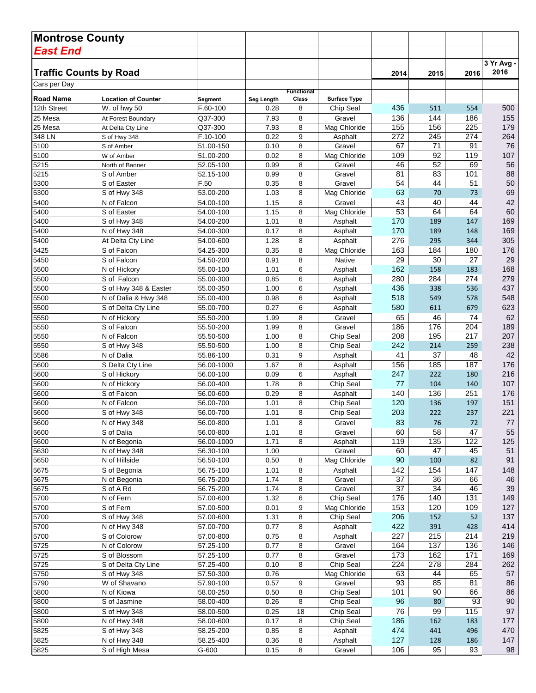| <b>Montrose County</b>        |                                  |                         |              |                            |                     |            |            |            |            |
|-------------------------------|----------------------------------|-------------------------|--------------|----------------------------|---------------------|------------|------------|------------|------------|
| <b>East End</b>               |                                  |                         |              |                            |                     |            |            |            |            |
|                               |                                  |                         |              |                            |                     |            |            |            | 3 Yr Avg - |
| <b>Traffic Counts by Road</b> |                                  |                         |              |                            |                     | 2014       | 2015       | 2016       | 2016       |
| Cars per Day                  |                                  |                         |              |                            |                     |            |            |            |            |
| <b>Road Name</b>              | <b>Location of Counter</b>       | Segment                 | Seg Length   | <b>Functional</b><br>Class | <b>Surface Type</b> |            |            |            |            |
| 12th Street                   | W. of hwy 50                     | F.60-100                | 0.28         | 8                          | Chip Seal           | 436        | 511        | 554        | 500        |
| 25 Mesa                       | At Forest Boundary               | Q37-300                 | 7.93         | 8                          | Gravel              | 136        | 144        | 186        | 155        |
| 25 Mesa                       | At Delta Cty Line                | Q37-300                 | 7.93         | 8                          | Mag Chloride        | 155        | 156        | 225        | 179        |
| 348 LN                        | S of Hwy 348                     | F.10-100                | 0.22         | 9                          | Asphalt             | 272        | 245        | 274        | 264        |
| 5100                          | S of Amber                       | 51.00-150               | 0.10         | 8                          | Gravel              | 67         | 71         | 91         | 76         |
| 5100                          | W of Amber                       | 51.00-200               | 0.02         | 8                          | Mag Chloride        | 109        | 92         | 119        | 107        |
| 5215                          | North of Banner                  | 52.05-100               | 0.99         | 8                          | Gravel              | 46         | 52         | 69         | 56         |
| 5215<br>5300                  | S of Amber<br>S of Easter        | 52.15-100<br>F.50       | 0.99<br>0.35 | 8<br>8                     | Gravel<br>Gravel    | 81<br>54   | 83<br>44   | 101<br>51  | 88<br>50   |
| 5300                          | S of Hwy 348                     | 53.00-200               | 1.03         | 8                          | Mag Chloride        | 63         | 70         | 73         | 69         |
| 5400                          | N of Falcon                      | 54.00-100               | 1.15         | 8                          | Gravel              | 43         | 40         | 44         | 42         |
| 5400                          | S of Easter                      | 54.00-100               | 1.15         | 8                          | Mag Chloride        | 53         | 64         | 64         | 60         |
| 5400                          | S of Hwy 348                     | 54.00-200               | 1.01         | 8                          | Asphalt             | 170        | 189        | 147        | 169        |
| 5400                          | N of Hwy 348                     | 54.00-300               | 0.17         | 8                          | Asphalt             | 170        | 189        | 148        | 169        |
| 5400                          | At Delta Cty Line                | 54.00-600               | 1.28         | 8                          | Asphalt             | 276        | 295        | 344        | 305        |
| 5425                          | S of Falcon                      | 54.25-300               | 0.35         | 8                          | Mag Chloride        | 163        | 184        | 180        | 176        |
| 5450                          | S of Falcon                      | 54.50-200               | 0.91         | 8                          | <b>Native</b>       | 29         | 30         | 27         | 29         |
| 5500                          | N of Hickory                     | 55.00-100               | 1.01         | 6                          | Asphalt             | 162        | 158        | 183        | 168        |
| 5500                          | S of Falcon                      | 55.00-300               | 0.85         | 6                          | Asphalt             | 280        | 284        | 274        | 279        |
| 5500                          | S of Hwy 348 & Easter            | 55.00-350               | 1.00         | 6                          | Asphalt             | 436        | 338        | 536        | 437        |
| 5500                          | N of Dalia & Hwy 348             | 55.00-400               | 0.98         | 6                          | Asphalt             | 518        | 549        | 578        | 548        |
| 5500                          | S of Delta Cty Line              | 55.00-700               | 0.27         | 6                          | Asphalt             | 580        | 611        | 679        | 623        |
| 5550                          | N of Hickory                     | 55.50-200               | 1.99         | 8                          | Gravel              | 65         | 46         | 74         | 62         |
| 5550                          | S of Falcon                      | 55.50-200               | 1.99         | 8                          | Gravel              | 186        | 176        | 204        | 189        |
| 5550                          | N of Falcon                      | 55.50-500               | 1.00         | 8                          | Chip Seal           | 208        | 195        | 217        | 207        |
| 5550                          | S of Hwy 348                     | 55.50-500               | 1.00         | 8                          | Chip Seal           | 242        | 214        | 259        | 238        |
| 5586                          | N of Dalia                       | 55.86-100               | 0.31         | 9                          | Asphalt             | 41<br>156  | 37<br>185  | 48<br>187  | 42<br>176  |
| 5600<br>5600                  | S Delta Cty Line<br>S of Hickory | 56.00-1000<br>56.00-100 | 1.67<br>0.09 | 8<br>6                     | Asphalt<br>Asphalt  | 247        | 222        | 180        | 216        |
| 5600                          | N of Hickory                     | 56.00-400               | 1.78         | 8                          | Chip Seal           | 77         | 104        | 140        | 107        |
| 5600                          | S of Falcon                      | 56.00-600               | 0.29         | 8                          | Asphalt             | 140        | 136        | 251        | 176        |
| 5600                          | N of Falcon                      | 56.00-700               | 1.01         | 8                          | Chip Seal           | 120        | 136        | 197        | 151        |
| 5600                          | S of Hwy 348                     | 56.00-700               | 1.01         | 8                          | Chip Seal           | 203        | 222        | 237        | 221        |
| 5600                          | N of Hwy 348                     | 56.00-800               | 1.01         | 8                          | Gravel              | 83         | 76         | 72         | 77         |
| 5600                          | S of Dalia                       | 56.00-800               | 1.01         | 8                          | Gravel              | 60         | 58         | 47         | 55         |
| 5600                          | N of Begonia                     | 56.00-1000              | 1.71         | 8                          | Asphalt             | 119        | 135        | 122        | 125        |
| 5630                          | N of Hwy 348                     | 56.30-100               | 1.00         |                            | Gravel              | 60         | 47         | 45         | 51         |
| 5650                          | N of Hillside                    | 56.50-100               | 0.50         | 8                          | Mag Chloride        | 90         | 100        | 82         | 91         |
| 5675                          | S of Begonia                     | 56.75-100               | 1.01         | 8                          | Asphalt             | 142        | 154        | 147        | 148        |
| 5675                          | N of Begonia                     | 56.75-200               | 1.74         | 8                          | Gravel              | 37         | 36         | 66         | 46         |
| 5675                          | S of A Rd                        | 56.75-200               | 1.74         | 8                          | Gravel              | 37         | 34         | 46         | 39         |
| 5700                          | N of Fern                        | 57.00-600               | 1.32         | 6                          | Chip Seal           | 176        | 140        | 131        | 149        |
| 5700                          | S of Fern                        | 57.00-500               | 0.01         | 9                          | Mag Chloride        | 153        | 120        | 109        | 127        |
| 5700                          | S of Hwy 348                     | 57.00-600<br>57.00-700  | 1.31         | 8                          | Chip Seal           | 206        | 152        | 52         | 137        |
| 5700                          | N of Hwy 348                     |                         | 0.77         | 8                          | Asphalt             | 422<br>227 | 391<br>215 | 428<br>214 | 414        |
| 5700<br>5725                  | S of Colorow<br>N of Colorow     | 57.00-800<br>57.25-100  | 0.75<br>0.77 | 8<br>8                     | Asphalt<br>Gravel   | 164        | 137        | 136        | 219<br>146 |
| 5725                          | S of Blossom                     | 57.25-100               | 0.77         | 8                          | Gravel              | 173        | 162        | 171        | 169        |
| 5725                          | S of Delta Cty Line              | 57.25-400               | 0.10         | 8                          | Chip Seal           | 224        | 278        | 284        | 262        |
| 5750                          | S of Hwy 348                     | 57.50-300               | 0.76         |                            | Mag Chloride        | 63         | 44         | 65         | 57         |
| 5790                          | W of Shavano                     | 57.90-100               | 0.57         | 9                          | Gravel              | 93         | 85         | 81         | 86         |
| 5800                          | N of Kiowa                       | 58.00-250               | 0.50         | 8                          | Chip Seal           | 101        | 90         | 66         | 86         |
| 5800                          | S of Jasmine                     | 58.00-400               | 0.26         | 8                          | Chip Seal           | 96         | 80         | 93         | $90\,$     |
| 5800                          | S of Hwy 348                     | 58.00-500               | 0.25         | 18                         | Chip Seal           | 76         | 99         | 115        | 97         |
| 5800                          | N of Hwy 348                     | 58.00-600               | 0.17         | 8                          | Chip Seal           | 186        | 162        | 183        | 177        |
| 5825                          | S of Hwy 348                     | 58.25-200               | 0.85         | 8                          | Asphalt             | 474        | 441        | 496        | 470        |
| 5825                          | N of Hwy 348                     | 58.25-400               | 0.36         | 8                          | Asphalt             | 127        | 128        | 186        | 147        |
| 5825                          | S of High Mesa                   | $\overline{G}$ -600     | 0.15         | 8                          | Gravel              | 106        | 95         | 93         | 98         |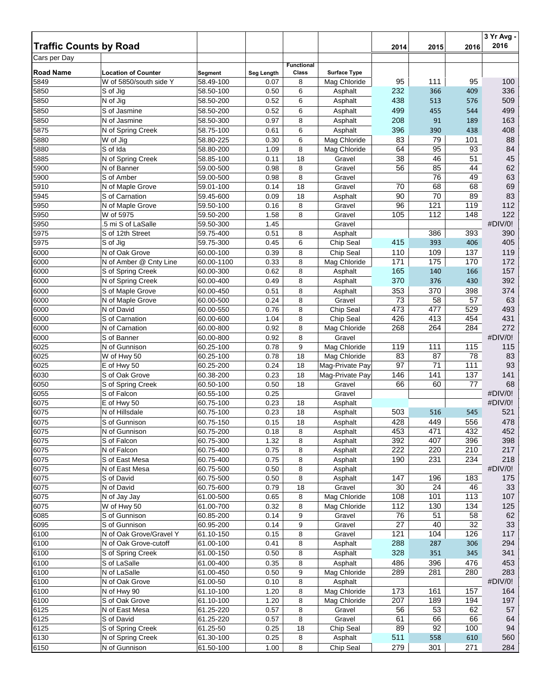| <b>Traffic Counts by Road</b> |                            |            |            |                            |                     | 2014 | 2015 | 2016 | 3 Yr Avg -<br>2016 |
|-------------------------------|----------------------------|------------|------------|----------------------------|---------------------|------|------|------|--------------------|
| Cars per Day                  |                            |            |            |                            |                     |      |      |      |                    |
| <b>Road Name</b>              | <b>Location of Counter</b> | Segment    | Seg Length | <b>Functional</b><br>Class | <b>Surface Type</b> |      |      |      |                    |
| 5849                          | W of 5850/south side Y     | 58.49-100  | 0.07       | 8                          | Mag Chloride        | 95   | 111  | 95   | 100                |
| 5850                          | S of Jig                   | 58.50-100  | 0.50       | 6                          | Asphalt             | 232  | 366  | 409  | 336                |
| 5850                          | N of Jig                   | 58.50-200  | 0.52       | 6                          | Asphalt             | 438  | 513  | 576  | 509                |
| 5850                          | S of Jasmine               | 58.50-200  | 0.52       | 6                          | Asphalt             | 499  | 455  | 544  | 499                |
| 5850                          | N of Jasmine               | 58.50-300  | 0.97       | 8                          | Asphalt             | 208  | 91   | 189  | 163                |
| 5875                          | N of Spring Creek          | 58.75-100  | 0.61       | 6                          | Asphalt             | 396  | 390  | 438  | 408                |
| 5880                          | W of Jig                   | 58.80-225  | 0.30       | 6                          | Mag Chloride        | 83   | 79   | 101  | 88                 |
| 5880                          | S of Ida                   | 58.80-200  | 1.09       | 8                          | Mag Chloride        | 64   | 95   | 93   | 84                 |
| 5885                          | N of Spring Creek          | 58.85-100  | 0.11       | 18                         | Gravel              | 38   | 46   | 51   | 45                 |
| 5900                          | N of Banner                | 59.00-500  | 0.98       | 8                          | Gravel              | 56   | 85   | 44   | 62                 |
| 5900                          | S of Amber                 | 59.00-500  | 0.98       | 8                          | Gravel              |      | 76   | 49   | 63                 |
| 5910                          | N of Maple Grove           | 59.01-100  | 0.14       | 18                         | Gravel              | 70   | 68   | 68   | 69                 |
| 5945                          | S of Carnation             | 59.45-600  | 0.09       | 18                         | Asphalt             | 90   | 70   | 89   | 83                 |
| 5950                          | N of Maple Grove           | 59.50-100  | 0.16       | 8                          | Gravel              | 96   | 121  | 119  | 112                |
| 5950                          | W of 5975                  | 59.50-200  | 1.58       | 8                          | Gravel              | 105  | 112  | 148  | 122                |
| 5950                          | 5 mi S of LaSalle          | 59.50-300  | 1.45       |                            | Gravel              |      |      |      | #DIV/0!            |
| 5975                          | S of 12th Street           | 59.75-400  | 0.51       | 8                          | Asphalt             |      | 386  | 393  | 390                |
| 5975                          | S of Jig                   | 59.75-300  | 0.45       | 6                          | Chip Seal           | 415  | 393  | 406  | 405                |
| 6000                          | N of Oak Grove             | 60.00-100  | 0.39       | 8                          | Chip Seal           | 110  | 109  | 137  | 119                |
| 6000                          | N of Amber @ Cnty Line     | 60.00-1100 | 0.33       | 8                          | Mag Chloride        | 171  | 175  | 170  | 172                |
| 6000                          | S of Spring Creek          | 60.00-300  | 0.62       | 8                          | Asphalt             | 165  | 140  | 166  | 157                |
| 6000                          | N of Spring Creek          | 60.00-400  | 0.49       | 8                          | Asphalt             | 370  | 376  | 430  | 392                |
| 6000                          | S of Maple Grove           | 60.00-450  | 0.51       | 8                          | Asphalt             | 353  | 370  | 398  | 374                |
| 6000                          | N of Maple Grove           | 60.00-500  | 0.24       | 8                          | Gravel              | 73   | 58   | 57   | 63                 |
| 6000                          | N of David                 | 60.00-550  | 0.76       | 8                          | Chip Seal           | 473  | 477  | 529  | 493                |
| 6000                          | S of Carnation             | 60.00-600  | 1.04       | 8                          | Chip Seal           | 426  | 413  | 454  | 431                |
| 6000                          | N of Carnation             | 60.00-800  | 0.92       | 8                          | Mag Chloride        | 268  | 264  | 284  | 272                |
| 6000                          | S of Banner                | 60.00-800  | 0.92       | 8                          | Gravel              |      |      |      | #DIV/0!            |
| 6025                          | N of Gunnison              | 60.25-100  | 0.78       | 9                          | Mag Chloride        | 119  | 111  | 115  | 115                |
| 6025                          | W of Hwy 50                | 60.25-100  | 0.78       | 18                         | Mag Chloride        | 83   | 87   | 78   | 83                 |
| 6025                          | E of Hwy 50                | 60.25-200  | 0.24       | 18                         | Mag-Private Pay     | 97   | 71   | 111  | 93                 |
| 6030                          | S of Oak Grove             | 60.38-200  | 0.23       | 18                         | Mag-Private Pay     | 146  | 141  | 137  | 141                |
| 6050                          | S of Spring Creek          | 60.50-100  | 0.50       | 18                         | Gravel              | 66   | 60   | 77   | 68                 |
| 6055                          | S of Falcon                | 60.55-100  | 0.25       |                            | Gravel              |      |      |      | #DIV/0!            |
| 6075                          | E of Hwy 50                | 60.75-100  | 0.23       | 18                         | Asphalt             |      |      |      | #DIV/0!            |
| 6075                          | N of Hillsdale             | 60.75-100  | 0.23       | 18                         | Asphalt             | 503  | 516  | 545  | 521                |
| 6075                          | S of Gunnison              | 60.75-150  | 0.15       | 18                         | Asphalt             | 428  | 449  | 556  | 478                |
| 6075                          | N of Gunnison              | 60.75-200  | 0.18       | 8                          | Asphalt             | 453  | 471  | 432  | 452                |
| 6075                          | S of Falcon                | 60.75-300  | 1.32       | 8                          | Asphalt             | 392  | 407  | 396  | 398                |
| 6075                          | N of Falcon                | 60.75-400  | 0.75       | 8                          | Asphalt             | 222  | 220  | 210  | 217                |
| 6075                          | S of East Mesa             | 60.75-400  | 0.75       | 8                          | Asphalt             | 190  | 231  | 234  | 218                |
| 6075                          | N of East Mesa             | 60.75-500  | 0.50       | 8                          | Asphalt             |      |      |      | #DIV/0!            |
| 6075                          | S of David                 | 60.75-500  | 0.50       | 8                          | Asphalt             | 147  | 196  | 183  | 175                |
| 6075                          | N of David                 | 60.75-600  | 0.79       | 18                         | Gravel              | 30   | 24   | 46   | 33                 |
| 6075                          | N of Jay Jay               | 61.00-500  | 0.65       | 8                          | Mag Chloride        | 108  | 101  | 113  | 107                |
| 6075                          | W of Hwy 50                | 61.00-700  | 0.32       | 8                          | Mag Chloride        | 112  | 130  | 134  | 125                |
| 6085                          | S of Gunnison              | 60.85-200  | 0.14       | 9                          | Gravel              | 76   | 51   | 58   | 62                 |
| 6095                          | S of Gunnison              | 60.95-200  | 0.14       | 9                          | Gravel              | 27   | 40   | 32   | 33                 |
| 6100                          | N of Oak Grove/Gravel Y    | 61.10-150  | 0.15       | 8                          | Gravel              | 121  | 104  | 126  | 117                |
| 6100                          | N of Oak Grove-cutoff      | 61.00-100  | 0.41       | 8                          | Asphalt             | 288  | 287  | 306  | 294                |
| 6100                          | S of Spring Creek          | 61.00-150  | 0.50       | 8                          | Asphalt             | 328  | 351  | 345  | 341                |
| 6100                          | S of LaSalle               | 61.00-400  | 0.35       | 8                          | Asphalt             | 486  | 396  | 476  | 453                |
| 6100                          | N of LaSalle               | 61.00-450  | 0.50       | 9                          | Mag Chloride        | 289  | 281  | 280  | 283                |
| 6100                          | N of Oak Grove             | 61.00-50   | 0.10       | 8                          | Asphalt             |      |      |      | #DIV/0!            |
| 6100                          | N of Hwy 90                | 61.10-100  | 1.20       | 8                          | Mag Chloride        | 173  | 161  | 157  | 164                |
| 6100                          | S of Oak Grove             | 61.10-100  | 1.20       | 8                          | Mag Chloride        | 207  | 189  | 194  | 197                |
| 6125                          | N of East Mesa             | 61.25-220  | 0.57       | 8                          | Gravel              | 56   | 53   | 62   | 57                 |
| 6125                          | S of David                 | 61.25-220  | 0.57       | 8                          | Gravel              | 61   | 66   | 66   | 64                 |
| 6125                          | S of Spring Creek          | 61.25-50   | 0.25       | 18                         | Chip Seal           | 89   | 92   | 100  | 94                 |
| 6130                          | N of Spring Creek          | 61.30-100  | 0.25       | 8                          | Asphalt             | 511  | 558  | 610  | 560                |
| 6150                          | N of Gunnison              | 61.50-100  | 1.00       | 8                          | Chip Seal           | 279  | 301  | 271  | 284                |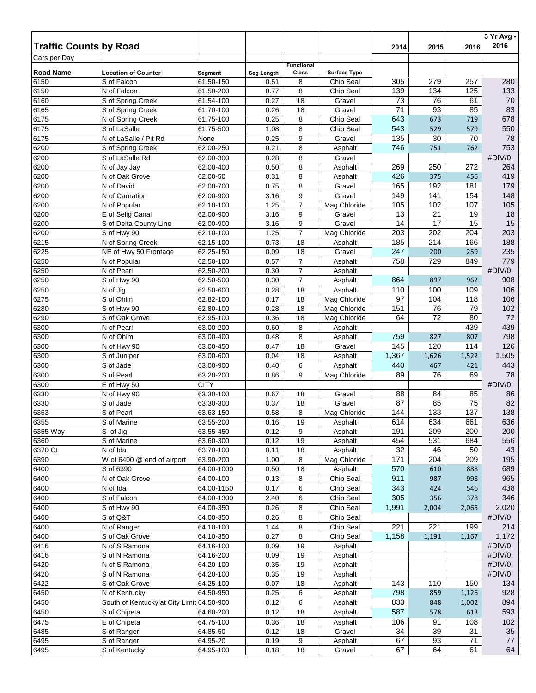| <b>Traffic Counts by Road</b> |                                           |                        |              |                   |                     | 2014            | 2015       | 2016       | 3 Yr Avg -<br>2016 |
|-------------------------------|-------------------------------------------|------------------------|--------------|-------------------|---------------------|-----------------|------------|------------|--------------------|
| Cars per Day                  |                                           |                        |              |                   |                     |                 |            |            |                    |
|                               |                                           |                        |              | <b>Functional</b> |                     |                 |            |            |                    |
| <b>Road Name</b>              | <b>Location of Counter</b>                | Segment                | Seg Length   | Class             | <b>Surface Type</b> |                 |            |            |                    |
| 6150                          | S of Falcon                               | 61.50-150              | 0.51         | 8                 | Chip Seal           | 305             | 279<br>134 | 257        | 280<br>133         |
| 6150<br>6160                  | N of Falcon<br>S of Spring Creek          | 61.50-200<br>61.54-100 | 0.77<br>0.27 | 8<br>18           | Chip Seal<br>Gravel | 139<br>73       | 76         | 125<br>61  | 70                 |
| 6165                          | S of Spring Creek                         | 61.70-100              | 0.26         | 18                | Gravel              | 71              | 93         | 85         | 83                 |
| 6175                          | N of Spring Creek                         | 61.75-100              | 0.25         | 8                 | Chip Seal           | 643             | 673        | 719        | 678                |
| 6175                          | S of LaSalle                              | 61.75-500              | 1.08         | 8                 | Chip Seal           | 543             | 529        | 579        | 550                |
| 6175                          | N of LaSalle / Pit Rd                     | None                   | 0.25         | 9                 | Gravel              | 135             | 30         | 70         | 78                 |
| 6200                          | S of Spring Creek                         | 62.00-250              | 0.21         | 8                 | Asphalt             | 746             | 751        | 762        | 753                |
| 6200                          | S of LaSalle Rd                           | 62.00-300              | 0.28         | 8                 | Gravel              |                 |            |            | #DIV/0!            |
| 6200                          | N of Jay Jay                              | 62.00-400              | 0.50         | 8                 | Asphalt             | 269             | 250        | 272        | 264                |
| 6200                          | N of Oak Grove                            | 62.00-50               | 0.31         | 8                 | Asphalt             | 426             | 375        | 456        | 419                |
| 6200                          | N of David                                | 62.00-700              | 0.75         | 8                 | Gravel              | 165             | 192        | 181        | 179                |
| 6200                          | N of Carnation                            | 62.00-900              | 3.16         | 9                 | Gravel              | 149             | 141        | 154        | 148                |
| 6200                          | N of Popular                              | 62.10-100              | 1.25         | $\overline{7}$    | Mag Chloride        | 105             | 102        | 107        | 105                |
| 6200                          | E of Selig Canal                          | 62.00-900              | 3.16         | 9                 | Gravel              | 13              | 21         | 19         | 18                 |
| 6200                          | S of Delta County Line                    | 62.00-900              | 3.16         | 9                 | Gravel              | 14              | 17         | 15         | 15                 |
| 6200                          | S of Hwy 90                               | 62.10-100              | 1.25         | 7                 | Mag Chloride        | 203             | 202        | 204        | 203                |
| 6215                          | N of Spring Creek                         | 62.15-100              | 0.73         | 18                | Asphalt             | 185             | 214        | 166        | 188                |
| 6225                          | NE of Hwy 50 Frontage                     | 62.25-150              | 0.09         | 18                | Gravel              | 247             | 200        | 259        | 235                |
| 6250                          | N of Popular                              | 62.50-100              | 0.57         | $\overline{7}$    | Asphalt             | 758             | 729        | 849        | 779                |
| 6250                          | N of Pearl                                | 62.50-200              | 0.30         | $\overline{7}$    | Asphalt             |                 |            |            | #DIV/0!            |
| 6250                          | S of Hwy 90                               | 62.50-500              | 0.30         | $\overline{7}$    | Asphalt             | 864             | 897        | 962        | 908                |
| 6250                          | N of Jig                                  | 62.50-600              | 0.28         | 18                | Asphalt             | 110             | 100        | 109        | 106                |
| 6275                          | S of Ohlm                                 | 62.82-100              | 0.17         | 18                | Mag Chloride        | 97              | 104        | 118        | 106                |
| 6280                          | S of Hwy 90                               | 62.80-100              | 0.28         | 18                | Mag Chloride        | 151             | 76         | 79         | 102                |
| 6290                          | S of Oak Grove                            | 62.95-100              | 0.36         | 18                | Mag Chloride        | 64              | 72         | 80         | 72                 |
| 6300                          | N of Pearl                                | 63.00-200              | 0.60         | 8                 | Asphalt             |                 |            | 439        | 439                |
| 6300                          | N of Ohlm                                 | 63.00-400              | 0.48         | 8                 | Asphalt             | 759             | 827        | 807        | 798                |
| 6300                          | N of Hwy 90                               | 63.00-450              | 0.47         | 18                | Gravel              | 145             | 120        | 114        | 126                |
| 6300                          | S of Juniper                              | 63.00-600              | 0.04         | 18                | Asphalt             | 1,367           | 1,626      | 1,522      | 1,505              |
| 6300                          | S of Jade                                 | 63.00-900              | 0.40         | 6                 | Asphalt             | 440             | 467        | 421        | 443                |
| 6300                          | S of Pearl                                | 63.20-200              | 0.86         | 9                 | Mag Chloride        | 89              | 76         | 69         | 78                 |
| 6300                          | E of Hwy 50                               | <b>CITY</b>            |              |                   |                     |                 |            |            | #DIV/0!            |
| 6330                          | N of Hwy 90                               | 63.30-100              | 0.67         | 18                | Gravel              | 88              | 84         | 85         | 86                 |
| 6330                          | S of Jade                                 | 63.30-300              | 0.37         | 18                | Gravel              | $\overline{87}$ | 85         | 75         | 82                 |
| 6353                          | S of Pearl                                | 63.63-150              | 0.58         | 8                 | Mag Chloride        | 144             | 133        | 137        | 138                |
| 6355                          | S of Marine                               | 63.55-200              | 0.16         | 19                | Asphalt             | 614             | 634        | 661        | 636                |
| 6355 Way<br>6360              | S of Jig<br>S of Marine                   | 63.55-450<br>63.60-300 | 0.12<br>0.12 | 9<br>19           | Asphalt<br>Asphalt  | 191<br>454      | 209<br>531 | 200<br>684 | 200<br>556         |
| 6370 Ct                       | N of Ida                                  | 63.70-100              | 0.11         | 18                | Asphalt             | 32              | 46         | 50         | 43                 |
| 6390                          | W of 6400 @ end of airport                | 63.90-200              | 1.00         | 8                 | Mag Chloride        | 171             | 204        | 209        | 195                |
| 6400                          | S of 6390                                 | 64.00-1000             | 0.50         | 18                | Asphalt             | 570             | 610        | 888        | 689                |
| 6400                          | N of Oak Grove                            | 64.00-100              | 0.13         | 8                 | Chip Seal           | 911             | 987        | 998        | 965                |
| 6400                          | N of Ida                                  | 64.00-1150             | 0.17         | 6                 | Chip Seal           | 343             | 424        | 546        | 438                |
| 6400                          | S of Falcon                               | 64.00-1300             | 2.40         | 6                 | Chip Seal           | 305             | 356        | 378        | 346                |
| 6400                          | S of Hwy 90                               | 64.00-350              | 0.26         | 8                 | Chip Seal           | 1,991           | 2,004      | 2,065      | 2,020              |
| 6400                          | S of Q&T                                  | 64.00-350              | 0.26         | 8                 | Chip Seal           |                 |            |            | #DIV/0!            |
| 6400                          | N of Ranger                               | 64.10-100              | 1.44         | 8                 | Chip Seal           | 221             | 221        | 199        | 214                |
| 6400                          | S of Oak Grove                            | 64.10-350              | 0.27         | 8                 | Chip Seal           | 1,158           | 1,191      | 1,167      | 1,172              |
| 6416                          | N of S Ramona                             | 64.16-100              | 0.09         | 19                | Asphalt             |                 |            |            | #DIV/0!            |
| 6416                          | S of N Ramona                             | 64.16-200              | 0.09         | 19                | Asphalt             |                 |            |            | #DIV/0!            |
| 6420                          | N of S Ramona                             | 64.20-100              | 0.35         | 19                | Asphalt             |                 |            |            | #DIV/0!            |
| 6420                          | S of N Ramona                             | 64.20-100              | 0.35         | 19                | Asphalt             |                 |            |            | #DIV/0!            |
| 6422                          | S of Oak Grove                            | 64.25-100              | 0.07         | 18                | Asphalt             | 143             | 110        | 150        | 134                |
| 6450                          | N of Kentucky                             | 64.50-950              | 0.25         | 6                 | Asphalt             | 798             | 859        | 1,126      | 928                |
| 6450                          | South of Kentucky at City Limit 64.50-900 |                        | 0.12         | 6                 | Asphalt             | 833             | 848        | 1,002      | 894                |
| 6450                          | S of Chipeta                              | 64.60-200              | 0.12         | 18                | Asphalt             | 587             | 578        | 613        | 593                |
| 6475                          | E of Chipeta                              | 64.75-100              | 0.36         | 18                | Asphalt             | 106             | 91         | 108        | 102                |
| 6485                          | S of Ranger                               | 64.85-50               | 0.12         | 18                | Gravel              | 34              | 39         | 31         | 35                 |
| 6495                          | S of Ranger                               | 64.95-20               | 0.19         | 9                 | Asphalt             | 67              | 93         | 71         | 77                 |
| 6495                          | S of Kentucky                             | 64.95-100              | 0.18         | 18                | Gravel              | 67              | 64         | 61         | 64                 |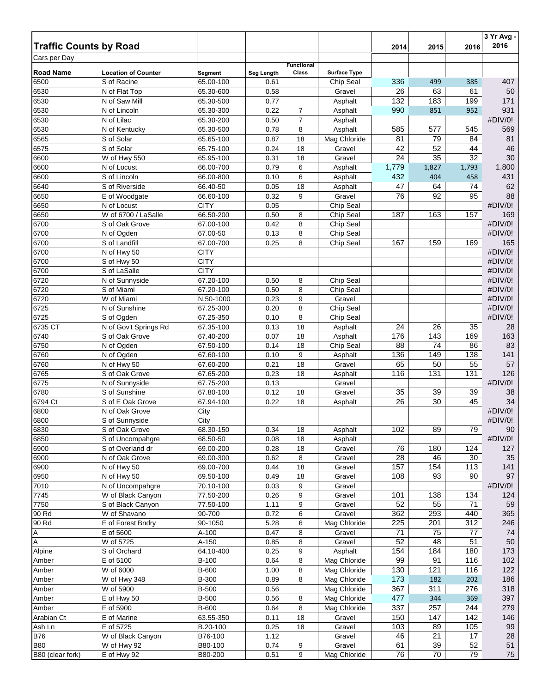| <b>Traffic Counts by Road</b> |                                           |                        |                    |                   |                                  | 2014     | 2015            | 2016            | 3 Yr Avg -<br>2016 |
|-------------------------------|-------------------------------------------|------------------------|--------------------|-------------------|----------------------------------|----------|-----------------|-----------------|--------------------|
| Cars per Day                  |                                           |                        |                    |                   |                                  |          |                 |                 |                    |
|                               |                                           |                        |                    | <b>Functional</b> |                                  |          |                 |                 |                    |
| <b>Road Name</b><br>6500      | <b>Location of Counter</b><br>S of Racine | Segment<br>65.00-100   | Seg Length<br>0.61 | Class             | <b>Surface Type</b><br>Chip Seal | 336      | 499             | 385             | 407                |
| 6530                          | N of Flat Top                             | 65.30-600              | 0.58               |                   | Gravel                           | 26       | 63              | 61              | 50                 |
| 6530                          | N of Saw Mill                             | 65.30-500              | 0.77               |                   | Asphalt                          | 132      | 183             | 199             | 171                |
| 6530                          | $\overline{N}$ of Lincoln                 | 65.30-300              | 0.22               | 7                 | Asphalt                          | 990      | 851             | 952             | 931                |
| 6530                          | N of Lilac                                | 65.30-200              | 0.50               | $\overline{7}$    | Asphalt                          |          |                 |                 | #DIV/0!            |
| 6530                          | N of Kentucky                             | 65.30-500              | 0.78               | 8                 | Asphalt                          | 585      | 577             | 545             | 569                |
| 6565                          | S of Solar                                | 65.65-100              | 0.87               | 18                | Mag Chloride                     | 81       | 79              | 84              | 81                 |
| 6575                          | S of Solar                                | 65.75-100              | 0.24               | 18                | Gravel                           | 42       | 52              | 44              | 46                 |
| 6600                          | W of Hwy 550                              | 65.95-100              | 0.31               | 18                | Gravel                           | 24       | $\overline{35}$ | $\overline{32}$ | 30                 |
| 6600                          | N of Locust                               | 66.00-700              | 0.79               | 6                 | Asphalt                          | 1,779    | 1,827           | 1,793           | 1,800              |
| 6600                          | S of Lincoln                              | 66.00-800              | 0.10               | 6                 | Asphalt                          | 432      | 404             | 458             | 431                |
| 6640                          | S of Riverside                            | 66.40-50               | 0.05               | 18                | Asphalt                          | 47       | 64              | 74              | 62                 |
| 6650                          | E of Woodgate                             | 66.60-100              | 0.32               | 9                 | Gravel                           | 76       | 92              | 95              | 88                 |
| 6650                          | N of Locust                               | <b>CITY</b>            | 0.05               |                   | Chip Seal                        |          |                 |                 | #DIV/0!            |
| 6650                          | W of 6700 / LaSalle                       | 66.50-200              | 0.50               | 8                 | Chip Seal                        | 187      | 163             | 157             | 169                |
| 6700<br>6700                  | S of Oak Grove                            | 67.00-100<br>67.00-50  | 0.42               | 8                 | Chip Seal                        |          |                 |                 | #DIV/0!<br>#DIV/0! |
|                               | N of Ogden<br>S of Landfill               | 67.00-700              | 0.13<br>0.25       | 8<br>8            | Chip Seal<br>Chip Seal           | 167      | 159             | 169             | 165                |
| 6700<br>6700                  | N of Hwy 50                               | <b>CITY</b>            |                    |                   |                                  |          |                 |                 | #DIV/0!            |
| 6700                          | S of Hwy 50                               | <b>CITY</b>            |                    |                   |                                  |          |                 |                 | #DIV/0!            |
| 6700                          | S of LaSalle                              | <b>CITY</b>            |                    |                   |                                  |          |                 |                 | #DIV/0!            |
| 6720                          | N of Sunnyside                            | 67.20-100              | 0.50               | 8                 | Chip Seal                        |          |                 |                 | #DIV/0!            |
| 6720                          | S of Miami                                | 67.20-100              | 0.50               | 8                 | Chip Seal                        |          |                 |                 | #DIV/0!            |
| 6720                          | W of Miami                                | N.50-1000              | 0.23               | 9                 | Gravel                           |          |                 |                 | #DIV/0!            |
| 6725                          | N of Sunshine                             | 67.25-300              | 0.20               | 8                 | Chip Seal                        |          |                 |                 | #DIV/0!            |
| 6725                          | S of Ogden                                | 67.25-350              | 0.10               | 8                 | Chip Seal                        |          |                 |                 | #DIV/0!            |
| 6735 CT                       | N of Gov't Springs Rd                     | 67.35-100              | 0.13               | 18                | Asphalt                          | 24       | 26              | 35              | 28                 |
| 6740                          | S of Oak Grove                            | 67.40-200              | 0.07               | 18                | Asphalt                          | 176      | 143             | 169             | 163                |
| 6750                          | N of Ogden                                | 67.50-100              | 0.14               | 18                | Chip Seal                        | 88       | 74              | 86              | 83                 |
| 6760                          | N of Ogden                                | 67.60-100              | 0.10               | 9                 | Asphalt                          | 136      | 149             | 138             | 141                |
| 6760                          | N of Hwy 50                               | 67.60-200              | 0.21               | 18                | Gravel                           | 65       | 50              | 55              | 57                 |
| 6765                          | S of Oak Grove                            | 67.65-200              | 0.23               | 18                | Asphalt                          | 116      | 131             | 131             | 126                |
| 6775                          | N of Sunnyside                            | 67.75-200              | 0.13               |                   | Gravel                           |          | 39              |                 | #DIV/0!            |
| 6780<br>6794 Ct               | S of Sunshine<br>S of E Oak Grove         | 67.80-100<br>67.94-100 | 0.12<br>0.22       | 18<br>18          | Gravel<br>Asphalt                | 35<br>26 | 30              | 39<br>45        | 38<br>34           |
| 6800                          | N of Oak Grove                            | City                   |                    |                   |                                  |          |                 |                 | #DIV/0!            |
| 6800                          | S of Sunnyside                            | City                   |                    |                   |                                  |          |                 |                 | #DIV/0!            |
| 6830                          | S of Oak Grove                            | 68.30-150              | 0.34               | 18                | Asphalt                          | 102      | 89              | 79              | 90                 |
| 6850                          | S of Uncompahgre                          | 68.50-50               | 0.08               | 18                | Asphalt                          |          |                 |                 | #DIV/0!            |
| 6900                          | S of Overland dr                          | 69.00-200              | 0.28               | 18                | Gravel                           | 76       | 180             | 124             | 127                |
| 6900                          | N of Oak Grove                            | 69.00-300              | 0.62               | 8                 | Gravel                           | 28       | 46              | 30              | 35                 |
| 6900                          | N of Hwy 50                               | 69.00-700              | 0.44               | 18                | Gravel                           | 157      | 154             | 113             | 141                |
| 6950                          | N of Hwy 50                               | 69.50-100              | 0.49               | 18                | Gravel                           | 108      | 93              | 90              | 97                 |
| 7010                          | N of Uncompahgre                          | 70.10-100              | 0.03               | 9                 | Gravel                           |          |                 |                 | #DIV/0!            |
| 7745                          | W of Black Canyon                         | 77.50-200              | 0.26               | 9                 | Gravel                           | 101      | 138             | 134             | 124                |
| 7750                          | S of Black Canyon                         | 77.50-100              | 1.11               | 9                 | Gravel                           | 52       | 55              | 71              | 59                 |
| 90 Rd                         | W of Shavano                              | 90-700                 | 0.72               | 6                 | Gravel                           | 362      | 293             | 440             | 365                |
| 90 Rd                         | E of Forest Bndry                         | 90-1050                | 5.28               | 6                 | Mag Chloride                     | 225      | 201             | 312             | 246                |
| Α<br>A                        | E of 5600<br>W of 5725                    | A-100<br>A-150         | 0.47<br>0.85       | 8<br>8            | Gravel<br>Gravel                 | 71<br>52 | 75<br>48        | 77<br>51        | 74<br>50           |
| Alpine                        | S of Orchard                              | 64.10-400              | 0.25               | 9                 | Asphalt                          | 154      | 184             | 180             | 173                |
| Amber                         | E of 5100                                 | B-100                  | 0.64               | 8                 | Mag Chloride                     | 99       | 91              | 116             | 102                |
| Amber                         | W of 6000                                 | <b>B-600</b>           | 1.00               | 8                 | Mag Chloride                     | 130      | 121             | 116             | 122                |
| Amber                         | W of Hwy 348                              | <b>B-300</b>           | 0.89               | 8                 | Mag Chloride                     | 173      | 182             | 202             | 186                |
| Amber                         | W of 5900                                 | <b>B-500</b>           | 0.56               |                   | Mag Chloride                     | 367      | 311             | 276             | 318                |
| Amber                         | E of Hwy 50                               | <b>B-500</b>           | 0.56               | 8                 | Mag Chloride                     | 477      | 344             | 369             | 397                |
| Amber                         | E of 5900                                 | <b>B-600</b>           | 0.64               | 8                 | Mag Chloride                     | 337      | 257             | 244             | 279                |
| Arabian Ct                    | E of Marine                               | 63.55-350              | 0.11               | 18                | Gravel                           | 150      | 147             | 142             | 146                |
| Ash Ln                        | E of 5725                                 | B.20-100               | 0.25               | 18                | Gravel                           | 103      | 89              | 105             | 99                 |
| <b>B76</b>                    | W of Black Canyon                         | B76-100                | 1.12               |                   | Gravel                           | 46       | 21              | 17              | 28                 |
| <b>B80</b>                    | W of Hwy 92                               | B80-100                | 0.74               | 9                 | Gravel                           | 61       | 39              | 52              | 51                 |
| B80 (clear fork)              | E of Hwy 92                               | B80-200                | 0.51               | 9                 | Mag Chloride                     | 76       | 70              | 79              | 75                 |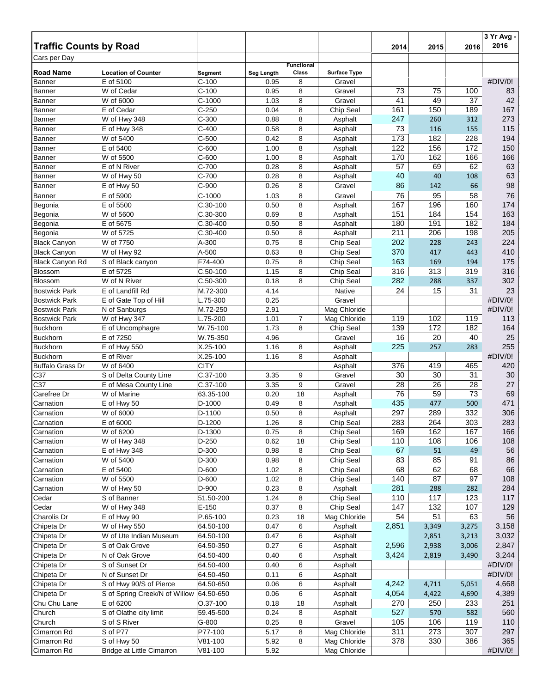| <b>Traffic Counts by Road</b> |                                                 |                      |              |                   |                     | 2014      | 2015       | 2016       | 3 Yr Avg -<br>2016 |
|-------------------------------|-------------------------------------------------|----------------------|--------------|-------------------|---------------------|-----------|------------|------------|--------------------|
| Cars per Day                  |                                                 |                      |              |                   |                     |           |            |            |                    |
|                               |                                                 |                      |              | <b>Functional</b> |                     |           |            |            |                    |
| <b>Road Name</b>              | <b>Location of Counter</b>                      | Segment              | Seg Length   | Class             | <b>Surface Type</b> |           |            |            |                    |
| Banner                        | E of 5100                                       | $C-100$              | 0.95         | 8                 | Gravel              |           |            |            | #DIV/0!            |
| Banner                        | W of Cedar                                      | $C-100$              | 0.95         | 8                 | Gravel              | 73        | 75         | 100        | 83                 |
| <b>Banner</b>                 | W of 6000                                       | $C-1000$             | 1.03         | 8                 | Gravel              | 41        | 49         | 37         | 42                 |
| <b>Banner</b>                 | E of Cedar                                      | $C-250$              | 0.04<br>0.88 | 8<br>8            | Chip Seal           | 161       | 150        | 189        | 167<br>273         |
| <b>Banner</b><br>Banner       | W of Hwy 348<br>E of Hwy 348                    | $C-300$<br>$C-400$   | 0.58         | 8                 | Asphalt<br>Asphalt  | 247<br>73 | 260<br>116 | 312<br>155 | 115                |
| <b>Banner</b>                 | W of 5400                                       | $C-500$              | 0.42         | 8                 | Asphalt             | 173       | 182        | 228        | 194                |
| <b>Banner</b>                 | E of 5400                                       | $C-600$              | 1.00         | 8                 | Asphalt             | 122       | 156        | 172        | 150                |
| <b>Banner</b>                 | W of 5500                                       | $C-600$              | 1.00         | 8                 | Asphalt             | 170       | 162        | 166        | 166                |
| <b>Banner</b>                 | E of N River                                    | $C-700$              | 0.28         | 8                 | Asphalt             | 57        | 69         | 62         | 63                 |
| Banner                        | W of Hwy 50                                     | $C-700$              | 0.28         | 8                 | Asphalt             | 40        | 40         | 108        | 63                 |
| Banner                        | E of Hwy 50                                     | $C-900$              | 0.26         | 8                 | Gravel              | 86        | 142        | 66         | 98                 |
| Banner                        | E of 5900                                       | $C-1000$             | 1.03         | 8                 | Gravel              | 76        | 95         | 58         | 76                 |
| Begonia                       | E of 5500                                       | $C.30-100$           | 0.50         | 8                 | Asphalt             | 167       | 196        | 160        | 174                |
| Begonia                       | W of 5600                                       | C.30-300             | 0.69         | 8                 | Asphalt             | 151       | 184        | 154        | 163                |
| Begonia                       | E of 5675                                       | C.30-400             | 0.50         | 8                 | Asphalt             | 180       | 191        | 182        | 184                |
| Begonia                       | W of 5725                                       | C.30-400             | 0.50         | 8                 | Asphalt             | 211       | 206        | 198        | 205                |
| <b>Black Canyon</b>           | W of 7750                                       | A-300                | 0.75         | 8                 | Chip Seal           | 202       | 228        | 243        | 224                |
| <b>Black Canyon</b>           | W of Hwy 92                                     | A-500                | 0.63         | 8                 | Chip Seal           | 370       | 417        | 443        | 410                |
| <b>Black Canyon Rd</b>        | S of Black canyon                               | F74-400              | 0.75         | 8                 | Chip Seal           | 163       | 169        | 194        | 175                |
| <b>Blossom</b>                | E of 5725                                       | $C.50-100$           | 1.15         | 8                 | Chip Seal           | 316       | 313        | 319        | 316                |
| Blossom                       | W of N River                                    | $C.50-300$           | 0.18         | 8                 | Chip Seal           | 282       | 288        | 337        | 302                |
| <b>Bostwick Park</b>          | E of Landfill Rd                                | M.72-300             | 4.14         |                   | Native              | 24        | 15         | 31         | 23                 |
| <b>Bostwick Park</b>          | E of Gate Top of Hill                           | L.75-300             | 0.25         |                   | Gravel              |           |            |            | #DIV/0!            |
| <b>Bostwick Park</b>          | N of Sanburgs                                   | M.72-250             | 2.91         |                   | Mag Chloride        |           |            |            | #DIV/0!            |
| <b>Bostwick Park</b>          | W of Hwy 347                                    | L.75-200             | 1.01         | $\overline{7}$    | Mag Chloride        | 119       | 102        | 119        | 113                |
| Buckhorn                      | E of Uncomphagre                                | W.75-100             | 1.73         | 8                 | Chip Seal           | 139       | 172        | 182        | 164                |
| Buckhorn                      | E of 7250                                       | W.75-350             | 4.96         |                   | Gravel              | 16        | 20         | 40         | 25                 |
| Buckhorn                      | E of Hwy 550                                    | $X.25-100$           | 1.16         | 8                 | Asphalt             | 225       | 257        | 283        | 255                |
| <b>Buckhorn</b>               | E of River                                      | X.25-100             | 1.16         | 8                 | Asphalt             |           |            |            | #DIV/0!            |
| <b>Buffalo Grass Dr</b>       | W of 6400                                       | <b>CITY</b>          |              |                   | Asphalt             | 376       | 419        | 465        | 420                |
| C37<br>C37                    | S of Delta County Line<br>E of Mesa County Line | C.37-100<br>C.37-100 | 3.35<br>3.35 | 9<br>9            | Gravel<br>Gravel    | 30<br>28  | 30<br>26   | 31<br>28   | $30\,$<br>27       |
| Carefree Dr                   | W of Marine                                     | 63.35-100            | 0.20         | 18                | Asphalt             | 76        | 59         | 73         | 69                 |
| Carnation                     | E of Hwy 50                                     | D-1000               | 0.49         | 8                 | Asphalt             | 435       | 477        | 500        | 471                |
| Carnation                     | W of 6000                                       | D-1100               | 0.50         | 8                 | Asphalt             | 297       | 289        | 332        | 306                |
| Carnation                     | E of 6000                                       | D-1200               | 1.26         | 8                 | Chip Seal           | 283       | 264        | 303        | 283                |
| Carnation                     | W of 6200                                       | D-1300               | 0.75         | 8                 | Chip Seal           | 169       | 162        | 167        | 166                |
| Carnation                     | W of Hwy 348                                    | D-250                | 0.62         | 18                | Chip Seal           | 110       | 108        | 106        | 108                |
| Carnation                     | E of Hwy 348                                    | D-300                | 0.98         | 8                 | Chip Seal           | 67        | 51         | 49         | 56                 |
| Carnation                     | W of 5400                                       | D-300                | 0.98         | 8                 | Chip Seal           | 83        | 85         | 91         | 86                 |
| Carnation                     | E of 5400                                       | D-600                | 1.02         | 8                 | Chip Seal           | 68        | 62         | 68         | 66                 |
| Carnation                     | W of 5500                                       | D-600                | 1.02         | 8                 | Chip Seal           | 140       | 87         | 97         | 108                |
| Carnation                     | W of Hwy 50                                     | D-900                | 0.23         | 8                 | Asphalt             | 281       | 288        | 282        | 284                |
| Cedar                         | S of Banner                                     | 51.50-200            | 1.24         | 8                 | Chip Seal           | 110       | 117        | 123        | 117                |
| Cedar                         | W of Hwy 348                                    | $E-150$              | 0.37         | 8                 | Chip Seal           | 147       | 132        | 107        | 129                |
| Charolis Dr                   | E of Hwy 90                                     | P.65-100             | 0.23         | 18                | Mag Chloride        | 54        | 51         | 63         | 56                 |
| Chipeta Dr                    | W of Hwy 550                                    | 64.50-100            | 0.47         | 6                 | Asphalt             | 2,851     | 3,349      | 3,275      | 3,158              |
| Chipeta Dr                    | W of Ute Indian Museum                          | 64.50-100            | 0.47         | 6                 | Asphalt             |           | 2,851      | 3,213      | 3,032              |
| Chipeta Dr                    | S of Oak Grove                                  | 64.50-350            | 0.27         | 6                 | Asphalt             | 2,596     | 2,938      | 3,006      | 2,847              |
| Chipeta Dr                    | N of Oak Grove                                  | 64.50-400            | 0.40         | 6                 | Asphalt             | 3,424     | 2,819      | 3,490      | 3,244              |
| Chipeta Dr                    | S of Sunset Dr                                  | 64.50-400            | 0.40         | 6                 | Asphalt             |           |            |            | #DIV/0!            |
| Chipeta Dr                    | N of Sunset Dr                                  | 64.50-450            | 0.11         | 6                 | Asphalt             |           |            |            | #DIV/0!            |
| Chipeta Dr                    | S of Hwy 90/S of Pierce                         | 64.50-650            | 0.06         | 6                 | Asphalt             | 4,242     | 4,711      | 5,051      | 4,668              |
| Chipeta Dr                    | S of Spring Creek/N of Willow                   | 64.50-650            | 0.06         | 6                 | Asphalt             | 4,054     | 4,422      | 4,690      | 4,389              |
| Chu Chu Lane                  | E of 6200                                       | O.37-100             | 0.18         | 18                | Asphalt             | 270       | 250        | 233        | 251                |
| Church                        | S of Olathe city limit                          | 59.45-500            | 0.24         | 8                 | Asphalt             | 527       | 570        | 582        | 560                |
| Church                        | S of S River                                    | G-800                | 0.25         | 8                 | Gravel              | 105       | 106        | 119        | 110                |
| Cimarron Rd                   | S of P77                                        | P77-100              | 5.17         | 8                 | Mag Chloride        | 311       | 273        | 307        | 297                |
| Cimarron Rd                   | S of Hwy 50                                     | V81-100              | 5.92         | 8                 | Mag Chloride        | 378       | 330        | 386        | 365                |
| Cimarron Rd                   | <b>Bridge at Little Cimarron</b>                | V81-100              | 5.92         |                   | Mag Chloride        |           |            |            | #DIV/0!            |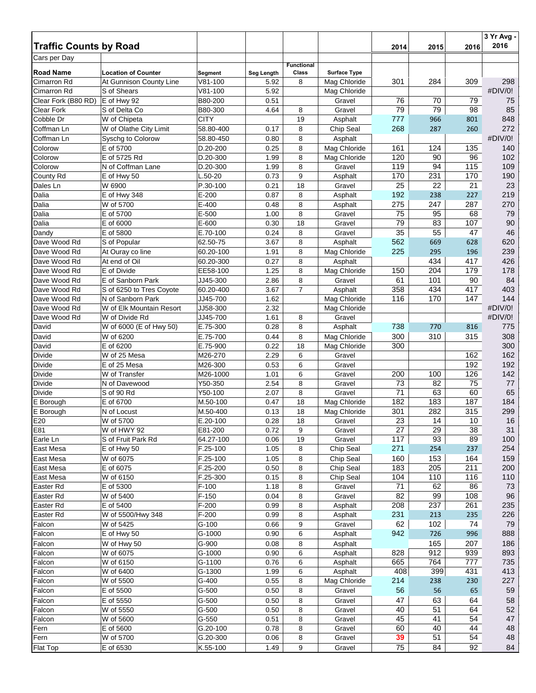|                               |                            |                      |              |                   |                              |            |            |            | $\overline{3}$ Yr Avg - |
|-------------------------------|----------------------------|----------------------|--------------|-------------------|------------------------------|------------|------------|------------|-------------------------|
| <b>Traffic Counts by Road</b> |                            |                      |              |                   |                              | 2014       | 2015       | 2016       | 2016                    |
| Cars per Day                  |                            |                      |              | <b>Functional</b> |                              |            |            |            |                         |
| <b>Road Name</b>              | <b>Location of Counter</b> | Segment              | Seg Length   | Class             | <b>Surface Type</b>          |            |            |            |                         |
| <b>Cimarron Rd</b>            | At Gunnison County Line    | $V81 - 100$          | 5.92         | 8                 | Mag Chloride                 | 301        | 284        | 309        | 298                     |
| Cimarron Rd                   | S of Shears                | $V81 - 100$          | 5.92         |                   | Mag Chloride                 |            |            |            | #DIV/0!                 |
| Clear Fork (B80 RD)           | E of Hwy 92                | B80-200              | 0.51         |                   | Gravel                       | 76         | 70         | 79         | 75                      |
| Clear Fork                    | S of Delta Co              | B80-300              | 4.64         | 8                 | Gravel                       | 79         | 79         | 98         | 85                      |
| Cobble Dr                     | W of Chipeta               | <b>CITY</b>          |              | 19                | Asphalt                      | 777        | 966        | 801        | 848                     |
| Coffman Ln                    | W of Olathe City Limit     | 58.80-400            | 0.17         | 8                 | Chip Seal                    | 268        | 287        | 260        | 272                     |
| Coffman Ln                    | Syschg to Colorow          | 58.80-450            | 0.80         | 8                 | Asphalt                      |            |            |            | #DIV/0!                 |
| Colorow                       | E of 5700                  | D.20-200             | 0.25         | 8                 | Mag Chloride                 | 161        | 124        | 135        | 140                     |
| Colorow                       | E of 5725 Rd               | D.20-300             | 1.99         | 8                 | Mag Chloride                 | 120        | 90         | 96         | 102                     |
| Colorow                       | N of Coffman Lane          | D.20-300             | 1.99         | 8                 | Gravel                       | 119        | 94         | 115        | 109                     |
| County Rd<br>Dales Ln         | E of Hwy 50<br>W 6900      | L.50-20<br>P.30-100  | 0.73<br>0.21 | 9<br>18           | Asphalt<br>Gravel            | 170<br>25  | 231<br>22  | 170<br>21  | 190<br>23               |
| Dalia                         | E of Hwy 348               | $E-200$              | 0.87         | 8                 | Asphalt                      | 192        | 238        | 227        | 219                     |
| Dalia                         | W of 5700                  | $E-400$              | 0.48         | 8                 | Asphalt                      | 275        | 247        | 287        | 270                     |
| Dalia                         | E of 5700                  | E-500                | 1.00         | 8                 | Gravel                       | 75         | 95         | 68         | 79                      |
| Dalia                         | E of 6000                  | E-600                | 0.30         | 18                | Gravel                       | 79         | 83         | 107        | 90                      |
| Dandy                         | E of 5800                  | E.70-100             | 0.24         | 8                 | Gravel                       | 35         | 55         | 47         | 46                      |
| Dave Wood Rd                  | S of Popular               | 62.50-75             | 3.67         | 8                 | Asphalt                      | 562        | 669        | 628        | 620                     |
| Dave Wood Rd                  | At Ouray co line           | 60.20-100            | 1.91         | 8                 | Mag Chloride                 | 225        | 295        | 196        | 239                     |
| Dave Wood Rd                  | At end of Oil              | 60.20-300            | 0.27         | 8                 | Asphalt                      |            | 434        | 417        | 426                     |
| Dave Wood Rd                  | E of Divide                | EE58-100             | 1.25         | 8                 | Mag Chloride                 | 150        | 204        | 179        | 178                     |
| Dave Wood Rd                  | E of Sanborn Park          | JJ45-300             | 2.86         | 8                 | Gravel                       | 61         | 101        | 90         | 84                      |
| Dave Wood Rd                  | S of 6250 to Tres Coyote   | 60.20-400            | 3.67         | $\overline{7}$    | Asphalt                      | 358        | 434        | 417        | 403                     |
| Dave Wood Rd                  | N of Sanborn Park          | JJ45-700             | 1.62         |                   | Mag Chloride                 | 116        | 170        | 147        | 144                     |
| Dave Wood Rd                  | W of Elk Mountain Resort   | JJ58-300             | 2.32         |                   | Mag Chloride                 |            |            |            | #DIV/0!                 |
| Dave Wood Rd                  | W of Divide Rd             | JJ45-700             | 1.61         | 8                 | Gravel                       |            |            |            | #DIV/0!                 |
| David                         | W of 6000 (E of Hwy 50)    | E.75-300             | 0.28         | 8                 | Asphalt                      | 738        | 770        | 816        | 775                     |
| David                         | W of 6200                  | E.75-700             | 0.44         | 8                 | Mag Chloride                 | 300        | 310        | 315        | 308                     |
| David                         | E of 6200                  | E.75-900             | 0.22         | 18                | Mag Chloride                 | 300        |            |            | 300                     |
| Divide                        | W of 25 Mesa               | M26-270              | 2.29         | 6                 | Gravel                       |            |            | 162        | 162                     |
| Divide                        | E of 25 Mesa               | M26-300              | 0.53         | 6                 | Gravel                       |            |            | 192        | 192                     |
| Divide                        | W of Transfer              | M26-1000             | 1.01         | 6                 | Gravel                       | 200        | 100        | 126        | 142                     |
| Divide                        | N of Davewood              | Y50-350              | 2.54         | 8                 | Gravel                       | 73         | 82         | 75         | 77                      |
| Divide                        | S of 90 Rd                 | Y50-100              | 2.07         | 8                 | Gravel                       | 71         | 63         | 60         | 65                      |
| E Borough<br>E Borough        | E of 6700<br>N of Locust   | M.50-100<br>M.50-400 | 0.47<br>0.13 | 18<br>18          | Mag Chloride<br>Mag Chloride | 182<br>301 | 183<br>282 | 187<br>315 | 184<br>299              |
| E20                           | W of 5700                  | E.20-100             | 0.28         | 18                | Gravel                       | 23         | 14         | 10         | 16                      |
| E81                           | W of HWY 92                | E81-200              | 0.72         | 9                 | Gravel                       | 27         | 29         | 38         | 31                      |
| Earle Ln                      | S of Fruit Park Rd         | 64.27-100            | 0.06         | 19                | Gravel                       | 117        | 93         | 89         | 100                     |
| East Mesa                     | E of Hwy 50                | F.25-100             | 1.05         | 8                 | Chip Seal                    | 271        | 254        | 237        | 254                     |
| East Mesa                     | W of 6075                  | F.25-100             | 1.05         | 8                 | Chip Seal                    | 160        | 153        | 164        | 159                     |
| East Mesa                     | E of 6075                  | F.25-200             | 0.50         | 8                 | Chip Seal                    | 183        | 205        | 211        | 200                     |
| East Mesa                     | W of 6150                  | F.25-300             | 0.15         | 8                 | Chip Seal                    | 104        | 110        | 116        | 110                     |
| Easter Rd                     | E of 5300                  | $F-100$              | 1.18         | 8                 | Gravel                       | 71         | 62         | 86         | 73                      |
| Easter Rd                     | W of 5400                  | $F-150$              | 0.04         | 8                 | Gravel                       | 82         | 99         | 108        | 96                      |
| Easter Rd                     | E of 5400                  | F-200                | 0.99         | 8                 | Asphalt                      | 208        | 237        | 261        | 235                     |
| Easter Rd                     | W of 5500/Hwy 348          | $F-200$              | 0.99         | 8                 | Asphalt                      | 231        | 213        | 235        | 226                     |
| Falcon                        | W of 5425                  | $G-100$              | 0.66         | 9                 | Gravel                       | 62         | 102        | 74         | 79                      |
| Falcon                        | E of Hwy 50                | G-1000               | 0.90         | 6                 | Asphalt                      | 942        | 726        | 996        | 888                     |
| Falcon                        | W of Hwy 50                | G-900                | 0.08         | 8                 | Asphalt                      |            | 165        | 207        | 186                     |
| Falcon                        | W of 6075                  | G-1000               | 0.90         | 6                 | Asphalt                      | 828        | 912        | 939        | 893                     |
| Falcon                        | W of 6150                  | G-1100               | 0.76         | 6                 | Asphalt                      | 665        | 764        | 777        | 735                     |
| Falcon                        | W of 6400                  | G-1300               | 1.99         | 6                 | Asphalt                      | 408        | 399        | 431        | 413                     |
| Falcon                        | W of 5500                  | G-400                | 0.55         | 8                 | Mag Chloride                 | 214        | 238        | 230        | 227                     |
| Falcon                        | E of 5500                  | $G-500$              | 0.50         | 8                 | Gravel                       | 56         | 56         | 65         | 59                      |
| Falcon                        | E of 5550                  | G-500                | 0.50         | 8                 | Gravel                       | 47         | 63         | 64         | 58                      |
| Falcon                        | W of 5550                  | G-500                | 0.50         | 8                 | Gravel                       | 40         | 51         | 64         | 52                      |
| Falcon                        | W of 5600                  | $G-550$              | 0.51         | 8                 | Gravel                       | 45         | 41         | 54         | 47                      |
| Fern                          | E of 5600<br>W of 5700     | G.20-100<br>G.20-300 | 0.78<br>0.06 | 8<br>8            | Gravel<br>Gravel             | 60<br>39   | 40<br>51   | 44<br>54   | 48<br>48                |
| Fern<br>Flat Top              | E of 6530                  |                      |              | 9                 | Gravel                       | 75         | 84         | 92         | 84                      |
|                               |                            | K.55-100             | 1.49         |                   |                              |            |            |            |                         |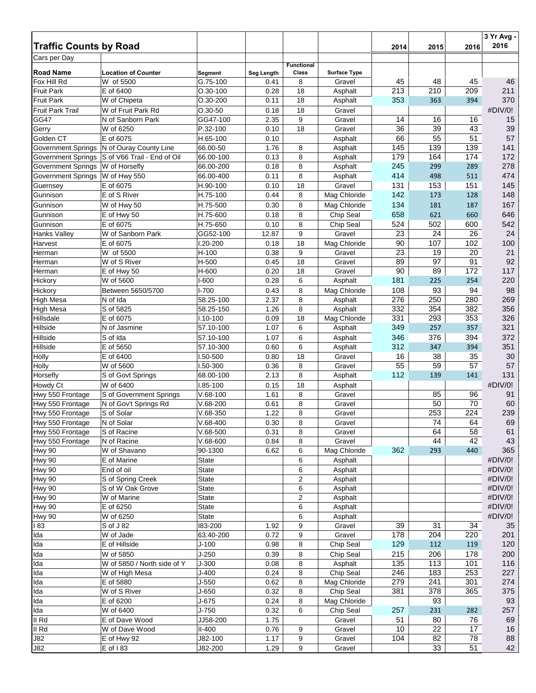| <b>Traffic Counts by Road</b> |                             |              |            |                   |                     |      |      | 2016 | 3 Yr Avg -<br>2016 |
|-------------------------------|-----------------------------|--------------|------------|-------------------|---------------------|------|------|------|--------------------|
| Cars per Day                  |                             |              |            |                   |                     | 2014 | 2015 |      |                    |
|                               |                             |              |            | <b>Functional</b> |                     |      |      |      |                    |
| <b>Road Name</b>              | <b>Location of Counter</b>  | Segment      | Seg Length | Class             | <b>Surface Type</b> |      |      |      |                    |
| Fox Hill Rd                   | W of 5500                   | G.75-100     | 0.41       | 8                 | Gravel              | 45   | 48   | 45   | 46                 |
| <b>Fruit Park</b>             | E of 6400                   | $O.30 - 100$ | 0.28       | 18                | Asphalt             | 213  | 210  | 209  | 211                |
| <b>Fruit Park</b>             | W of Chipeta                | O.30-200     | 0.11       | 18                | Asphalt             | 353  | 363  | 394  | 370                |
| <b>Fruit Park Trail</b>       | W of Fruit Park Rd          | $O.30 - 50$  | 0.18       | 18                | Gravel              |      |      |      | #DIV/0!            |
| <b>GG47</b>                   | N of Sanborn Park           | GG47-100     | 2.35       | 9                 | Gravel              | 14   | 16   | 16   | 15                 |
| Gerry                         | W of 6250                   | P.32-100     | 0.10       | 18                | Gravel              | 36   | 39   | 43   | 39                 |
| Golden CT                     | E of 6075                   | H.65-100     | 0.10       |                   | Asphalt             | 66   | 55   | 51   | 57                 |
| <b>Government Springs</b>     | N of Ouray County Line      | 66.00-50     | 1.76       | 8                 | Asphalt             | 145  | 139  | 139  | 141                |
| <b>Government Springs</b>     | S of V66 Trail - End of Oil | 66.00-100    | 0.13       | 8                 | Asphalt             | 179  | 164  | 174  | 172                |
| <b>Government Springs</b>     | W of Horsefly               | 66.00-200    | 0.18       | 8                 | Asphalt             | 245  | 299  | 289  | 278                |
| <b>Government Springs</b>     | W of Hwy 550                | 66.00-400    | 0.11       | 8                 | Asphalt             | 414  | 498  | 511  | 474                |
| Guernsey                      | E of 6075                   | H.90-100     | 0.10       | 18                | Gravel              | 131  | 153  | 151  | 145                |
| Gunnison                      | E of S River                | H.75-100     | 0.44       | 8                 | Mag Chloride        | 142  | 173  | 128  | 148                |
| Gunnison                      | W of Hwy 50                 | H.75-500     | 0.30       | 8                 | Mag Chloride        | 134  | 181  | 187  | 167                |
| Gunnison                      | E of Hwy 50                 | H.75-600     | 0.18       | 8                 | Chip Seal           | 658  | 621  | 660  | 646                |
| Gunnison                      | E of 6075                   | H.75-650     | 0.10       | 8                 | Chip Seal           | 524  | 502  | 600  | 542                |
| Hanks Valley                  | W of Sanborn Park           | GG52-100     | 12.87      | 9                 | Gravel              | 23   | 24   | 26   | 24                 |
| Harvest                       | E of 6075                   | 1.20-200     | 0.18       | 18                | Mag Chloride        | 90   | 107  | 102  | 100                |
| Herman                        | W of 5500                   | $H-100$      | 0.38       | 9                 | Gravel              | 23   | 19   | 20   | 21                 |
| Herman                        | W of S River                | H-500        | 0.45       | 18                | Gravel              | 89   | 97   | 91   | 92                 |
| Herman                        | E of Hwy 50                 | H-600        | 0.20       | 18                | Gravel              | 90   | 89   | 172  | 117                |
| Hickory                       | W of 5600                   | $I-600$      | 0.28       | 6                 | Asphalt             | 181  | 225  | 254  | 220                |
| Hickory                       | Between 5650/5700           | $I - 700$    | 0.43       | 8                 | Mag Chloride        | 108  | 93   | 94   | 98                 |
| <b>High Mesa</b>              | N of Ida                    | 58.25-100    | 2.37       | 8                 | Asphalt             | 276  | 250  | 280  | 269                |
| High Mesa                     | S of 5825                   | 58.25-150    | 1.26       | 8                 | Asphalt             | 332  | 354  | 382  | 356                |
| Hillsdale                     | E of 6075                   | $1.10 - 100$ | 0.09       | 18                | Mag Chloride        | 331  | 293  | 353  | 326                |
| Hillside                      | N of Jasmine                | 57.10-100    | 1.07       | 6                 | Asphalt             | 349  | 257  | 357  | 321                |
| Hillside                      | S of Ida                    | 57.10-100    | 1.07       | 6                 | Asphalt             | 346  | 376  | 394  | 372                |
| Hillside                      | E of 5650                   | 57.10-300    | 0.60       | 6                 | Asphalt             | 312  | 347  | 394  | 351                |
| Holly                         | E of 6400                   | I.50-500     | 0.80       | 18                | Gravel              | 16   | 38   | 35   | 30                 |
| Holly                         | W of 5600                   | I.50-300     | 0.36       | 8                 | Gravel              | 55   | 59   | 57   | 57                 |
| Horsefly                      | S of Govt Springs           | 68.00-100    | 2.13       | 8                 | Asphalt             | 112  | 139  | 141  | 131                |
| Howdy Ct                      | W of 6400                   | I.85-100     | 0.15       | 18                | Asphalt             |      |      |      | #DIV/0!            |
| Hwy 550 Frontage              | S of Government Springs     | $V.68-100$   | 1.61       | 8                 | Gravel              |      | 85   | 96   | 91                 |
| Hwy 550 Frontage              | N of Gov't Springs Rd       | $V.68 - 200$ | 0.61       | 8                 | Gravel              |      | 50   | 70   | 60                 |
| Hwy 550 Frontage              | S of Solar                  | $V.68-350$   | 1.22       | 8                 | Gravel              |      | 253  | 224  | 239                |
| Hwy 550 Frontage              | N of Solar                  | $V.68-400$   | 0.30       | 8                 | Gravel              |      | 74   | 64   | 69                 |
| Hwy 550 Frontage              | S of Racine                 | $V.68-500$   | 0.31       | 8                 | Gravel              |      | 64   | 58   | 61                 |
| Hwy 550 Frontage              | N of Racine                 | $V.68-600$   | 0.84       | 8                 | Gravel              |      | 44   | 42   | 43                 |
| Hwy 90                        | W of Shavano                | 90-1300      | 6.62       | 6                 | Mag Chloride        | 362  | 293  | 440  | 365                |
| Hwy 90                        | E of Marine                 | State        |            | 6                 | Asphalt             |      |      |      | #DIV/0!            |
| <b>Hwy 90</b>                 | End of oil                  | State        |            | 6                 | Asphalt             |      |      |      | #DIV/0!            |
| <b>Hwy 90</b>                 | S of Spring Creek           | State        |            | 2                 | Asphalt             |      |      |      | #DIV/0!            |
| <b>Hwy 90</b>                 | S of W Oak Grove            | <b>State</b> |            | 6                 | Asphalt             |      |      |      | #DIV/0!            |
| Hwy 90                        | W of Marine                 | <b>State</b> |            | $\overline{c}$    | Asphalt             |      |      |      | #DIV/0!            |
| Hwy 90                        | E of 6250                   | State        |            | 6                 | Asphalt             |      |      |      | #DIV/0!            |
| <b>Hwy 90</b>                 | W of 6250                   | State        |            | 6                 | Asphalt             |      |      |      | #DIV/0!            |
| l 83                          | S of J 82                   | 183-200      | 1.92       | 9                 | Gravel              | 39   | 31   | 34   | 35                 |
| Ida                           | W of Jade                   | 63.40-200    | 0.72       | 9                 | Gravel              | 178  | 204  | 220  | 201                |
| Ida                           | E of Hillside               | $J-100$      | 0.98       | 8                 | Chip Seal           | 129  | 112  | 119  | 120                |
| Ida                           | W of 5850                   | $J-250$      | 0.39       | 8                 | Chip Seal           | 215  | 206  | 178  | 200                |
| Ida                           | W of 5850 / North side of Y | $J-300$      | 0.08       | 8                 | Asphalt             | 135  | 113  | 101  | 116                |
| Ida                           | W of High Mesa              | $J-400$      | 0.24       | 8                 | Chip Seal           | 246  | 183  | 253  | 227                |
| Ida                           | E of 5880                   | $J-550$      | 0.62       | 8                 | Mag Chloride        | 279  | 241  | 301  | 274                |
| Ida                           | W of S River                | J-650        | 0.32       | 8                 | Chip Seal           | 381  | 378  | 365  | 375                |
| Ida                           | E of 6200                   | J-675        | 0.24       | 8                 | Mag Chloride        |      | 93   |      | 93                 |
| Ida                           | W of 6400                   | J-750        | 0.32       | 6                 | Chip Seal           | 257  | 231  | 282  | 257                |
| II Rd                         | E of Dave Wood              | JJ58-200     | 1.75       |                   | Gravel              | 51   | 80   | 76   | 69                 |
| II Rd                         | W of Dave Wood              | $II-400$     | 0.76       |                   | Gravel              | 10   | 22   | 17   | 16                 |
| <b>J82</b>                    |                             | J82-100      | 1.17       | 9<br>9            | Gravel              | 104  | 82   | 78   | 88                 |
| J82                           | E of Hwy 92<br>E of 183     | J82-200      | 1.29       | 9                 |                     |      | 33   | 51   | 42                 |
|                               |                             |              |            |                   | Gravel              |      |      |      |                    |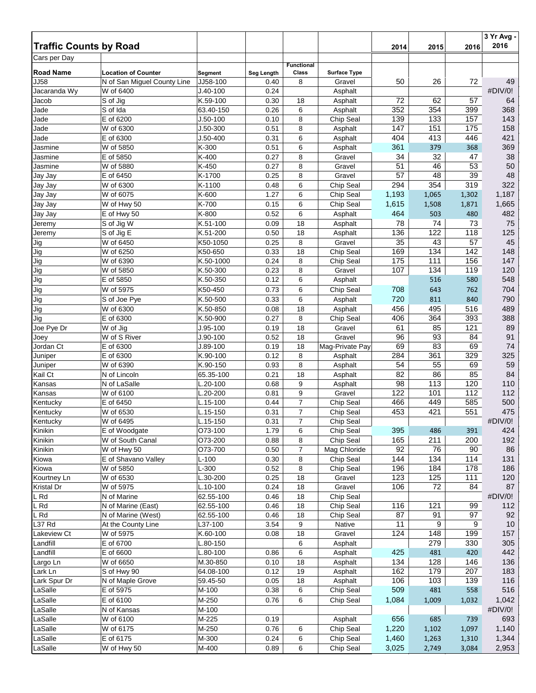| <b>Traffic Counts by Road</b> |                                 |                      |                   |                   |                     | 2014     | 2015     | 2016      | 3 Yr Avg -<br>2016 |
|-------------------------------|---------------------------------|----------------------|-------------------|-------------------|---------------------|----------|----------|-----------|--------------------|
| Cars per Day                  |                                 |                      |                   |                   |                     |          |          |           |                    |
|                               |                                 |                      |                   | <b>Functional</b> |                     |          |          |           |                    |
| <b>Road Name</b>              | <b>Location of Counter</b>      | Segment              | <b>Seg Length</b> | Class             | <b>Surface Type</b> |          |          |           |                    |
| <b>JJ58</b>                   | N of San Miguel County Line     | JJ58-100             | 0.40              | 8                 | Gravel              | 50       | 26       | 72        | 49                 |
| Jacaranda Wy                  | W of 6400                       | $J.40 - 100$         | 0.24              |                   | Asphalt             |          |          |           | #DIV/0!            |
| Jacob                         | S of Jig                        | K.59-100             | 0.30              | 18                | Asphalt             | 72       | 62       | 57        | 64                 |
| Jade                          | S of Ida                        | 63.40-150            | 0.26              | 6                 | Asphalt             | 352      | 354      | 399       | 368                |
| Jade                          | E of 6200                       | $J.50-100$           | 0.10              | 8                 | Chip Seal           | 139      | 133      | 157       | 143                |
| Jade                          | W of 6300                       | $J.50-300$           | 0.51              | 8                 | Asphalt             | 147      | 151      | 175       | 158                |
| Jade                          | E of 6300                       | $J.50 - 400$         | 0.31              | 6                 | Asphalt             | 404      | 413      | 446       | 421                |
| Jasmine                       | W of 5850                       | K-300                | 0.51              | 6                 | Asphalt             | 361      | 379      | 368       | 369                |
| Jasmine                       | E of 5850                       | K-400                | 0.27              | 8                 | Gravel              | 34       | 32       | 47        | 38                 |
| Jasmine                       | W of 5880                       | K-450<br>K-1700      | 0.27              | 8                 | Gravel              | 51<br>57 | 46<br>48 | 53        | 50<br>48           |
| Jay Jay                       | E of 6450<br>W of 6300          | K-1100               | 0.25<br>0.48      | 8<br>6            | Gravel<br>Chip Seal | 294      | 354      | 39<br>319 | 322                |
| Jay Jay<br>Jay Jay            | W of 6075                       | K-600                | 1.27              | 6                 | Chip Seal           | 1,193    | 1,065    | 1,302     | 1,187              |
| Jay Jay                       | W of Hwy 50                     | K-700                | 0.15              | 6                 | Chip Seal           | 1,615    | 1,508    | 1,871     | 1,665              |
| Jay Jay                       | E of Hwy 50                     | K-800                | 0.52              | 6                 | Asphalt             | 464      | 503      | 480       | 482                |
| Jeremy                        | S of Jig W                      | K.51-100             | 0.09              | 18                | Asphalt             | 78       | 74       | 73        | 75                 |
| Jeremy                        | S of Jig E                      | K.51-200             | 0.50              | 18                | Asphalt             | 136      | 122      | 118       | 125                |
| Jig                           | W of 6450                       | K50-1050             | 0.25              | 8                 | Gravel              | 35       | 43       | 57        | 45                 |
| Jig                           | W of 6250                       | K50-650              | 0.33              | 18                | Chip Seal           | 169      | 134      | 142       | 148                |
| Jig                           | W of 6390                       | K.50-1000            | 0.24              | 8                 | Chip Seal           | 175      | 111      | 156       | 147                |
| Jig                           | W of 5850                       | K.50-300             | 0.23              | 8                 | Gravel              | 107      | 134      | 119       | 120                |
| Jig                           | E of 5850                       | K.50-350             | 0.12              | 6                 | Asphalt             |          | 516      | 580       | 548                |
| Jig                           | W of 5975                       | K50-450              | 0.73              | 6                 | Chip Seal           | 708      | 643      | 762       | 704                |
| Jig                           | S of Joe Pye                    | K.50-500             | 0.33              | 6                 | Asphalt             | 720      | 811      | 840       | 790                |
| Jig                           | W of 6300                       | K.50-850             | 0.08              | 18                | Asphalt             | 456      | 495      | 516       | 489                |
| Jig                           | E of 6300                       | K.50-900             | 0.27              | 8                 | Chip Seal           | 406      | 364      | 393       | 388                |
| Joe Pye Dr                    | W of Jig                        | J.95-100             | 0.19              | 18                | Gravel              | 61       | 85       | 121       | 89                 |
| Joey                          | W of S River                    | $J.90-100$           | 0.52              | 18                | Gravel              | 96       | 93       | 84        | 91                 |
| Jordan Ct                     | E of 6300                       | $J.89-100$           | 0.19              | 18                | Mag-Private Pay     | 69       | 83       | 69        | 74                 |
| Juniper                       | E of 6300                       | K.90-100             | 0.12              | 8                 | Asphalt             | 284      | 361      | 329       | 325                |
| Juniper                       | W of 6390                       | K.90-150             | 0.93              | 8                 | Asphalt             | 54       | 55       | 69        | 59                 |
| Kail Ct                       | N of Lincoln                    | 65.35-100            | 0.21              | 18                | Asphalt             | 82       | 86       | 85        | 84                 |
| Kansas                        | N of LaSalle                    | L.20-100             | 0.68              | 9                 | Asphalt             | 98       | 113      | 120       | 110                |
| Kansas                        | W of 6100                       | L.20-200             | 0.81              | 9                 | Gravel              | 122      | 101      | 112       | 112                |
| Kentucky                      | E of 6450                       | $L.15 - 100$         | 0.44              | $\overline{7}$    | Chip Seal           | 466      | 449      | 585       | 500                |
| Kentucky                      | W of 6530                       | $L.15 - 150$         | 0.31              | $\overline{7}$    | Chip Seal           | 453      | 421      | 551       | 475                |
| Kentucky                      | W of 6495                       | L.15-150             | 0.31              | $\overline{7}$    | Chip Seal           |          |          |           | #DIV/0!            |
| Kinikin                       | E of Woodgate                   | O73-100              | 1.79              | 6                 | Chip Seal           | 395      | 486      | 391       | 424                |
| Kinikin                       | W of South Canal                | O73-200              | 0.88              | 8                 | Chip Seal           | 165      | 211      | 200       | 192                |
| Kinikin                       | $\overline{W}$ of Hwy 50        | O73-700              | 0.50              | $\overline{7}$    | Mag Chloride        | 92       | 76       | 90        | 86                 |
| Kiowa                         | E of Shavano Valley             | $L-100$              | 0.30              | 8                 | Chip Seal           | 144      | 134      | 114       | 131                |
| Kiowa                         | W of 5850                       | L-300                | 0.52              | 8                 | Chip Seal           | 196      | 184      | 178       | 186                |
| Kourtney Ln                   | W of 6530                       | L.30-200             | 0.25              | 18                | Gravel              | 123      | 125      | 111       | 120                |
| Kristal Dr                    | W of 5975                       | L.10-100             | 0.24              | 18                | Gravel              | 106      | 72       | 84        | 87                 |
| L Rd                          | N of Marine                     | 62.55-100            | 0.46              | 18                | Chip Seal           |          |          |           | #DIV/0!            |
| L Rd                          | N of Marine (East)              | 62.55-100            | 0.46              | 18                | Chip Seal           | 116      | 121      | 99        | 112                |
| L Rd<br>L37 Rd                | N of Marine (West)              | 62.55-100<br>L37-100 | 0.46<br>3.54      | 18<br>9           | Chip Seal<br>Native | 87<br>11 | 91<br>9  | 97<br>9   | 92<br>10           |
| Lakeview Ct                   | At the County Line<br>W of 5975 | K.60-100             | 0.08              | 18                | Gravel              | 124      | 148      | 199       | 157                |
| Landfill                      | E of 6700                       | L.80-150             |                   | 6                 | Asphalt             |          | 279      | 330       | 305                |
| Landfill                      | E of 6600                       | L.80-100             | 0.86              | 6                 | Asphalt             | 425      | 481      | 420       | 442                |
| Largo Ln                      | W of 6650                       | M.30-850             | 0.10              | 18                | Asphalt             | 134      | 128      | 146       | 136                |
| Lark Ln                       | S of Hwy 90                     | 64.08-100            | 0.12              | 19                | Asphalt             | 162      | 179      | 207       | 183                |
| Lark Spur Dr                  | N of Maple Grove                | 59.45-50             | 0.05              | 18                | Asphalt             | 106      | 103      | 139       | 116                |
| LaSalle                       | E of 5975                       | M-100                | 0.38              | 6                 | Chip Seal           | 509      | 481      | 558       | 516                |
| LaSalle                       | E of 6100                       | M-250                | 0.76              | 6                 | Chip Seal           | 1,084    | 1,009    | 1,032     | 1,042              |
| LaSalle                       | N of Kansas                     | M-100                |                   |                   |                     |          |          |           | #DIV/0!            |
| LaSalle                       | W of 6100                       | M-225                | 0.19              |                   | Asphalt             | 656      | 685      | 739       | 693                |
| LaSalle                       | W of 6175                       | M-250                | 0.76              | 6                 | Chip Seal           | 1,220    | 1,102    | 1,097     | 1,140              |
| LaSalle                       | E of 6175                       | M-300                | 0.24              | 6                 | Chip Seal           | 1,460    | 1,263    | 1,310     | 1,344              |
| LaSalle                       | W of Hwy 50                     | M-400                | 0.89              | 6                 | Chip Seal           | 3,025    | 2,749    | 3,084     | 2,953              |
|                               |                                 |                      |                   |                   |                     |          |          |           |                    |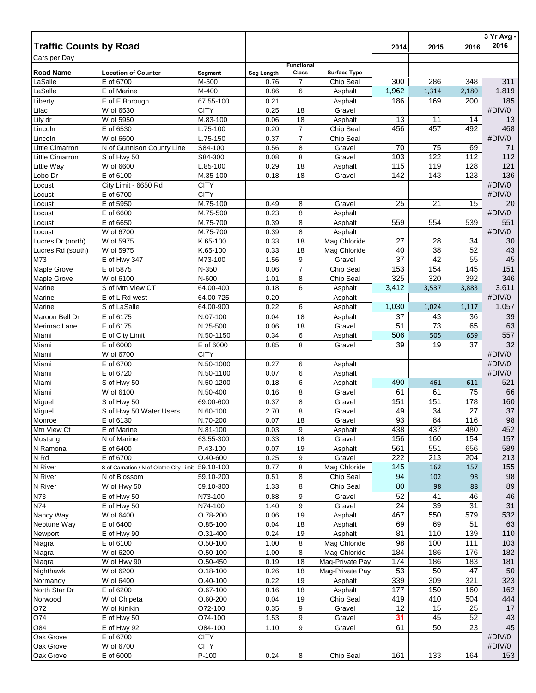|                                        |                                         |                              |              |                   |                                 |            |            |            | 3 Yr Avg -     |
|----------------------------------------|-----------------------------------------|------------------------------|--------------|-------------------|---------------------------------|------------|------------|------------|----------------|
| <b>Traffic Counts by Road</b>          |                                         |                              |              |                   |                                 | 2014       | 2015       | 2016       | 2016           |
| Cars per Day                           |                                         |                              |              | <b>Functional</b> |                                 |            |            |            |                |
| <b>Road Name</b>                       | <b>Location of Counter</b>              | Segment                      | Seg Length   | Class             | <b>Surface Type</b>             |            |            |            |                |
| LaSalle                                | E of 6700                               | M-500                        | 0.76         | 7                 | Chip Seal                       | 300        | 286        | 348        | 311            |
| LaSalle                                | E of Marine                             | M-400                        | 0.86         | 6                 | Asphalt                         | 1,962      | 1,314      | 2,180      | 1,819          |
| Liberty                                | E of E Borough                          | 67.55-100<br><b>CITY</b>     | 0.21         | 18                | Asphalt<br>Gravel               | 186        | 169        | 200        | 185<br>#DIV/0! |
| Lilac<br>Lily dr                       | W of 6530<br>W of 5950                  | M.83-100                     | 0.25<br>0.06 | 18                | Asphalt                         | 13         | 11         | 14         | 13             |
| Lincoln                                | E of 6530                               | L.75-100                     | 0.20         | $\overline{7}$    | Chip Seal                       | 456        | 457        | 492        | 468            |
| Lincoln                                | W of 6600                               | L.75-150                     | 0.37         | $\overline{7}$    | Chip Seal                       |            |            |            | #DIV/0!        |
| Little Cimarron                        | N of Gunnison County Line               | S84-100                      | 0.56         | 8                 | Gravel                          | 70         | 75         | 69         | 71             |
| Little Cimarron                        | S of Hwy 50                             | S84-300                      | 0.08         | 8                 | Gravel                          | 103        | 122        | 112        | 112            |
| Little Way                             | W of 6600                               | $L.85-100$                   | 0.29         | 18                | Asphalt                         | 115        | 119        | 128        | 121            |
| Lobo Dr                                | E of 6100                               | M.35-100                     | 0.18         | 18                | Gravel                          | 142        | 143        | 123        | 136            |
| Locust                                 | City Limit - 6650 Rd                    | <b>CITY</b>                  |              |                   |                                 |            |            |            | #DIV/0!        |
| Locust                                 | E of 6700                               | <b>CITY</b>                  |              |                   |                                 |            |            |            | #DIV/0!        |
| Locust                                 | E of 5950                               | M.75-100                     | 0.49         | 8                 | Gravel                          | 25         | 21         | 15         | 20             |
| Locust                                 | E of 6600                               | M.75-500                     | 0.23         | 8                 | Asphalt                         |            |            |            | #DIV/0!        |
| Locust                                 | E of 6650                               | M.75-700                     | 0.39         | 8                 | Asphalt                         | 559        | 554        | 539        | 551            |
| Locust                                 | W of 6700<br>W of 5975                  | M.75-700<br>K.65-100         | 0.39<br>0.33 | 8<br>18           | Asphalt<br>Mag Chloride         | 27         | 28         | 34         | #DIV/0!<br>30  |
| Lucres Dr (north)<br>Lucres Rd (south) | W of 5975                               | K.65-100                     | 0.33         | 18                | Mag Chloride                    | 40         | 38         | 52         | 43             |
| M73                                    | E of Hwy 347                            | M73-100                      | 1.56         | 9                 | Gravel                          | 37         | 42         | 55         | 45             |
| Maple Grove                            | E of 5875                               | N-350                        | 0.06         | $\overline{7}$    | Chip Seal                       | 153        | 154        | 145        | 151            |
| Maple Grove                            | W of 6100                               | N-600                        | 1.01         | 8                 | Chip Seal                       | 325        | 320        | 392        | 346            |
| Marine                                 | S of Mtn View CT                        | 64.00-400                    | 0.18         | 6                 | Asphalt                         | 3,412      | 3,537      | 3,883      | 3,611          |
| Marine                                 | E of L Rd west                          | 64.00-725                    | 0.20         |                   | Asphalt                         |            |            |            | #DIV/0!        |
| Marine                                 | S of LaSalle                            | 64.00-900                    | 0.22         | 6                 | Asphalt                         | 1,030      | 1,024      | 1,117      | 1,057          |
| Maroon Bell Dr                         | E of 6175                               | N.07-100                     | 0.04         | 18                | Asphalt                         | 37         | 43         | 36         | 39             |
| Merimac Lane                           | E of 6175                               | N.25-500                     | 0.06         | 18                | Gravel                          | 51         | 73         | 65         | 63             |
| Miami                                  | E of City Limit                         | N.50-1150                    | 0.34         | 6                 | Asphalt                         | 506        | 505        | 659        | 557            |
| Miami                                  | E of 6000                               | E of 6000                    | 0.85         | 8                 | Gravel                          | 39         | 19         | 37         | 32             |
| Miami                                  | W of 6700                               | <b>CITY</b>                  |              |                   |                                 |            |            |            | #DIV/0!        |
| Miami                                  | E of 6700                               | N.50-1000                    | 0.27         | 6                 | Asphalt                         |            |            |            | #DIV/0!        |
| Miami                                  | E of 6720                               | N.50-1100                    | 0.07         | 6                 | Asphalt                         |            |            |            | #DIV/0!        |
| Miami                                  | S of Hwy 50                             | N.50-1200                    | 0.18         | 6                 | Asphalt                         | 490        | 461        | 611        | 521            |
| Miami                                  | W of 6100                               | N.50-400                     | 0.16         | 8<br>8            | Gravel<br>Gravel                | 61         | 61<br>151  | 75<br>178  | 66<br>160      |
| Miguel<br>Miguel                       | S of Hwy 50<br>S of Hwy 50 Water Users  | 69.00-600<br>N.60-100        | 0.37<br>2.70 | 8                 | Gravel                          | 151<br>49  | 34         | 27         | 37             |
| Monroe                                 | E of 6130                               | N.70-200                     | 0.07         | 18                | Gravel                          | 93         | 84         | 116        | 98             |
| Mtn View Ct                            | E of Marine                             | N.81-100                     | 0.03         | 9                 | Asphalt                         | 438        | 437        | 480        | 452            |
| Mustang                                | N of Marine                             | 63.55-300                    | 0.33         | 18                | Gravel                          | 156        | 160        | 154        | 157            |
| N Ramona                               | E of 6400                               | P.43-100                     | 0.07         | 19                | Asphalt                         | 561        | 551        | 656        | 589            |
| N Rd                                   | E of 6700                               | $O.40 - 600$                 | 0.25         | 9                 | Gravel                          | 222        | 213        | 204        | 213            |
| N River                                | S of Carnation / N of Olathe City Limit | 59.10-100                    | 0.77         | 8                 | Mag Chloride                    | 145        | 162        | 157        | 155            |
| N River                                | N of Blossom                            | 59.10-200                    | 0.51         | 8                 | Chip Seal                       | 94         | 102        | 98         | 98             |
| N River                                | W of Hwy 50                             | 59.10-300                    | 1.33         | 8                 | Chip Seal                       | 80         | 98         | 88         | 89             |
| N73                                    | E of Hwy 50                             | N73-100                      | 0.88         | 9                 | Gravel                          | 52         | 41         | 46         | $46\,$         |
| N74                                    | E of Hwy 50                             | N74-100                      | 1.40         | 9                 | Gravel                          | 24         | 39         | 31         | 31             |
| Nancy Way                              | W of 6400                               | O.78-200                     | 0.06         | 19                | Asphalt                         | 467        | 550        | 579        | 532            |
| Neptune Way                            | E of 6400                               | O.85-100                     | 0.04         | 18                | Asphalt                         | 69         | 69         | 51         | 63             |
| Newport                                | E of Hwy 90                             | O.31-400                     | 0.24         | 19                | Asphalt                         | 81         | 110        | 139        | 110            |
| Niagra                                 | E of 6100                               | $O.50 - 100$                 | 1.00         | 8                 | Mag Chloride                    | 98         | 100<br>186 | 111        | 103            |
| Niagra<br>Niagra                       | W of 6200<br>W of Hwy 90                | $O.50 - 100$<br>$O.50 - 450$ | 1.00<br>0.19 | 8<br>18           | Mag Chloride<br>Mag-Private Pay | 184<br>174 | 186        | 176<br>183 | 182<br>181     |
| Nighthawk                              | W of 6200                               | $O.18 - 100$                 | 0.26         | 18                | Mag-Private Pay                 | 53         | 50         | 47         | 50             |
| Normandy                               | W of 6400                               | $O.40 - 100$                 | 0.22         | 19                | Asphalt                         | 339        | 309        | 321        | 323            |
| North Star Dr                          | E of 6200                               | O.67-100                     | 0.16         | 18                | Asphalt                         | 177        | 150        | 160        | 162            |
| Norwood                                | W of Chipeta                            | $O.60 - 200$                 | 0.04         | 19                | Chip Seal                       | 419        | 410        | 504        | 444            |
| O72                                    | W of Kinikin                            | O72-100                      | 0.35         | 9                 | Gravel                          | 12         | 15         | 25         | 17             |
| O74                                    | E of Hwy 50                             | O74-100                      | 1.53         | 9                 | Gravel                          | 31         | 45         | 52         | 43             |
| O84                                    | E of Hwy 92                             | O84-100                      | 1.10         | 9                 | Gravel                          | 61         | 50         | 23         | 45             |
| Oak Grove                              | E of 6700                               | <b>CITY</b>                  |              |                   |                                 |            |            |            | #DIV/0!        |
| Oak Grove                              | W of 6700                               | <b>CITY</b>                  |              |                   |                                 |            |            |            | #DIV/0!        |
| Oak Grove                              | E of 6000                               | P-100                        | 0.24         | 8                 | Chip Seal                       | 161        | 133        | 164        | 153            |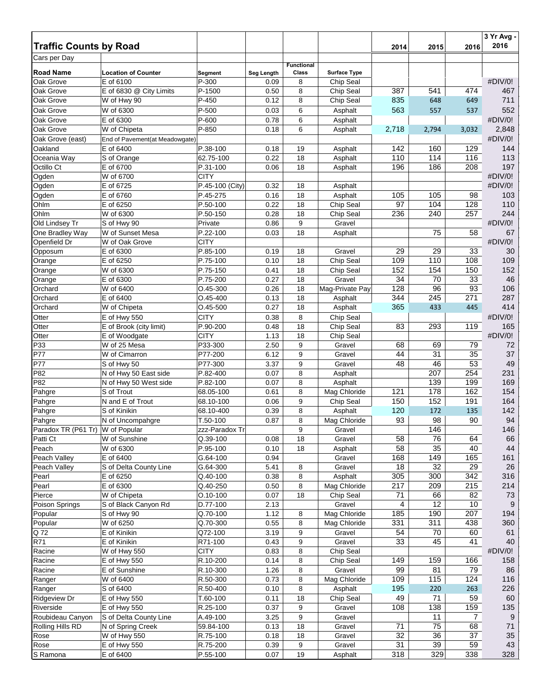|                                            |                                |                            |                   |                   |                            |           |                  |           | 3 Yr Avg -<br>2016 |
|--------------------------------------------|--------------------------------|----------------------------|-------------------|-------------------|----------------------------|-----------|------------------|-----------|--------------------|
| <b>Traffic Counts by Road</b>              |                                |                            |                   |                   |                            | 2014      | 2015             | 2016      |                    |
| Cars per Day                               |                                |                            |                   | <b>Functional</b> |                            |           |                  |           |                    |
| <b>Road Name</b>                           | <b>Location of Counter</b>     | Segment                    | <b>Seg Length</b> | Class             | <b>Surface Type</b>        |           |                  |           |                    |
| Oak Grove                                  | E of 6100                      | P-300                      | 0.09              | 8                 | Chip Seal                  |           |                  |           | #DIV/0!            |
| Oak Grove                                  | E of 6830 @ City Limits        | P-1500                     | 0.50              | 8                 | Chip Seal                  | 387       | 541              | 474       | 467                |
| Oak Grove                                  | W of Hwy 90                    | P-450                      | 0.12              | 8                 | Chip Seal                  | 835       | 648              | 649       | 711                |
| Oak Grove                                  | W of 6300                      | P-500                      | 0.03              | 6                 | Asphalt                    | 563       | 557              | 537       | 552                |
| Oak Grove                                  | E of 6300                      | P-600                      | 0.78              | 6                 | Asphalt                    |           |                  |           | #DIV/0!            |
| Oak Grove                                  | W of Chipeta                   | P-850                      | 0.18              | 6                 | Asphalt                    | 2,718     | 2,794            | 3,032     | 2,848              |
| Oak Grove (east)<br>Oakland                | End of Pavement(at Meadowgate) | P.38-100                   |                   | 19                |                            | 142       | 160              | 129       | #DIV/0!<br>144     |
| Oceania Way                                | E of 6400<br>S of Orange       | 62.75-100                  | 0.18<br>0.22      | 18                | Asphalt<br>Asphalt         | 110       | 114              | 116       | 113                |
| Octillo Ct                                 | E of 6700                      | P.31-100                   | 0.06              | 18                | Asphalt                    | 196       | 186              | 208       | 197                |
| Ogden                                      | W of 6700                      | <b>CITY</b>                |                   |                   |                            |           |                  |           | #DIV/0!            |
| Ogden                                      | E of 6725                      | P.45-100 (City)            | 0.32              | 18                | Asphalt                    |           |                  |           | #DIV/0!            |
| Ogden                                      | E of 6760                      | P.45-275                   | 0.16              | 18                | Asphalt                    | 105       | 105              | 98        | 103                |
| Ohlm                                       | E of 6250                      | P.50-100                   | 0.22              | 18                | Chip Seal                  | 97        | 104              | 128       | 110                |
| Ohlm                                       | W of 6300                      | P.50-150                   | 0.28              | 18                | Chip Seal                  | 236       | 240              | 257       | 244                |
| Old Lindsey Tr                             | S of Hwy 90                    | Private                    | 0.86              | 9                 | Gravel                     |           |                  |           | #DIV/0!            |
| One Bradley Way                            | W of Sunset Mesa               | P.22-100                   | 0.03              | 18                | Asphalt                    |           | 75               | 58        | 67                 |
| Openfield Dr                               | $\overline{W}$ of Oak Grove    | <b>CITY</b>                |                   |                   |                            |           |                  |           | #DIV/0!            |
| Opposum                                    | E of 6300                      | P.85-100                   | 0.19              | 18                | Gravel                     | 29        | 29               | 33        | 30                 |
| Orange                                     | E of 6250                      | P.75-100                   | 0.10              | 18                | Chip Seal                  | 109       | 110              | 108       | 109                |
| Orange                                     | W of 6300                      | P.75-150                   | 0.41              | 18                | Chip Seal                  | 152       | 154              | 150       | 152                |
| Orange                                     | E of 6300                      | P.75-200<br>$O.45 - 300$   | 0.27<br>0.26      | 18<br>18          | Gravel                     | 34<br>128 | 70<br>96         | 33<br>93  | 46<br>106          |
| Orchard<br>Orchard                         | W of 6400<br>E of 6400         | $O.45 - 400$               | 0.13              | 18                | Mag-Private Pay<br>Asphalt | 344       | $\overline{245}$ | 271       | 287                |
| Orchard                                    | W of Chipeta                   | $O.45 - 500$               | 0.27              | 18                | Asphalt                    | 365       | 433              | 445       | 414                |
| Otter                                      | E of Hwy 550                   | <b>CITY</b>                | 0.38              | 8                 | Chip Seal                  |           |                  |           | #DIV/0!            |
| Otter                                      | E of Brook (city limit)        | P.90-200                   | 0.48              | 18                | Chip Seal                  | 83        | 293              | 119       | 165                |
| Otter                                      | E of Woodgate                  | <b>CITY</b>                | 1.13              | 18                | Chip Seal                  |           |                  |           | #DIV/0!            |
| P33                                        | W of 25 Mesa                   | P33-300                    | 2.50              | 9                 | Gravel                     | 68        | 69               | 79        | 72                 |
| P77                                        | W of Cimarron                  | P77-200                    | 6.12              | 9                 | Gravel                     | 44        | 31               | 35        | $37\,$             |
| P77                                        | S of Hwy 50                    | P77-300                    | 3.37              | 9                 | Gravel                     | 48        | 46               | 53        | 49                 |
| P82                                        | N of Hwy 50 East side          | P.82-400                   | 0.07              | 8                 | Asphalt                    |           | 207              | 254       | 231                |
| P82                                        | N of Hwy 50 West side          | P.82-100                   | 0.07              | 8                 | Asphalt                    |           | 139              | 199       | 169                |
| Pahgre                                     | S of Trout                     | 68.05-100                  | 0.61              | 8                 | Mag Chloride               | 121       | 178              | 162       | 154                |
| Pahgre                                     | N and E of Trout               | 68.10-100                  | 0.06              | 9                 | Chip Seal                  | 150       | 152              | 191       | 164                |
| Pahgre                                     | S of Kinikin                   | 68.10-400                  | 0.39              | 8                 | Asphalt                    | 120       | 172              | 135       | 142                |
| Pahgre<br>Paradox TR (P61 Tr) W of Popular | N of Uncompahgre               | T.50-100                   | 0.87              | 8<br>9            | Mag Chloride               | 93        | 98<br>146        | 90        | 94<br>146          |
| Patti Ct                                   | W of Sunshine                  | zzz-Paradox Tr<br>Q.39-100 | 0.08              | 18                | Gravel<br>Gravel           | 58        | 76               | 64        | 66                 |
| Peach                                      | W of 6300                      | P.95-100                   | 0.10              | 18                | Asphalt                    | 58        | 35               | 40        | 44                 |
| Peach Valley                               | E of 6400                      | G.64-100                   | 0.94              |                   | Gravel                     | 168       | 149              | 165       | 161                |
| Peach Valley                               | S of Delta County Line         | G.64-300                   | 5.41              | 8                 | Gravel                     | 18        | 32               | 29        | 26                 |
| Pearl                                      | E of 6250                      | Q.40-100                   | 0.38              | 8                 | Asphalt                    | 305       | 300              | 342       | 316                |
| Pearl                                      | E of 6300                      | Q.40-250                   | 0.50              | 8                 | Mag Chloride               | 217       | 209              | 215       | 214                |
| Pierce                                     | W of Chipeta                   | $O.10 - 100$               | 0.07              | 18                | Chip Seal                  | 71        | 66               | 82        | 73                 |
| Poison Springs                             | S of Black Canyon Rd           | D.77-100                   | 2.13              |                   | Gravel                     | 4         | 12               | 10        | 9                  |
| Popular                                    | S of Hwy 90                    | Q.70-100                   | 1.12              | 8                 | Mag Chloride               | 185       | 190              | 207       | 194                |
| Popular                                    | W of 6250                      | Q.70-300                   | 0.55              | 8                 | Mag Chloride               | 331       | 311              | 438       | 360                |
| Q72                                        | E of Kinikin                   | Q72-100                    | 3.19              | 9                 | Gravel                     | 54        | 70               | 60        | 61                 |
| <b>R71</b>                                 | E of Kinikin                   | R71-100                    | 0.43              | 9                 | Gravel                     | 33        | 45               | 41        | 40                 |
| Racine                                     | W of Hwy 550                   | <b>CITY</b>                | 0.83              | 8                 | Chip Seal                  |           |                  |           | #DIV/0!            |
| Racine                                     | E of Hwy 550                   | R.10-200                   | 0.14              | 8                 | Chip Seal<br>Gravel        | 149<br>99 | 159              | 166       | 158                |
| Racine<br>Ranger                           | E of Sunshine<br>W of 6400     | R.10-300<br>R.50-300       | 1.26<br>0.73      | 8<br>8            | Mag Chloride               | 109       | 81<br>115        | 79<br>124 | 86<br>116          |
| Ranger                                     | S of 6400                      | R.50-400                   | 0.10              | 8                 | Asphalt                    | 195       | 220              | 263       | 226                |
| <b>Ridgeview Dr</b>                        | E of Hwy 550                   | T.60-100                   | 0.11              | 18                | Chip Seal                  | 49        | 71               | 59        | 60                 |
| Riverside                                  | E of Hwy 550                   | R.25-100                   | 0.37              | 9                 | Gravel                     | 108       | 138              | 159       | 135                |
| Roubideau Canyon                           | S of Delta County Line         | A.49-100                   | 3.25              | 9                 | Gravel                     |           | 11               | 7         | 9                  |
| Rolling Hills RD                           | N of Spring Creek              | 59.84-100                  | 0.13              | 18                | Gravel                     | 71        | 75               | 68        | 71                 |
| Rose                                       | W of Hwy 550                   | R.75-100                   | 0.18              | 18                | Gravel                     | 32        | 36               | 37        | 35                 |
| Rose                                       | E of Hwy 550                   | R.75-200                   | 0.39              | 9                 | Gravel                     | 31        | 39               | 59        | 43                 |
| S Ramona                                   | E of 6400                      | P.55-100                   | 0.07              | 19                | Asphalt                    | 318       | 329              | 338       | 328                |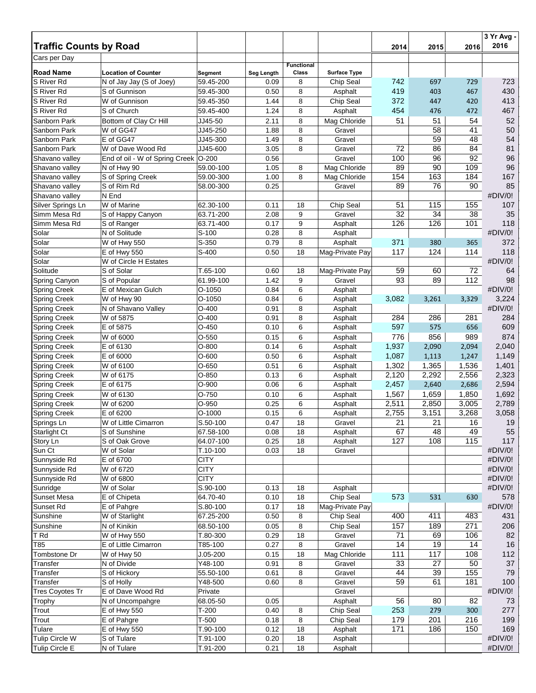| <b>Traffic Counts by Road</b>       |                                                        |                      |                    |                   |                                  | 2014           | 2015           | 2016           | 3 Yr Avg -<br>2016 |
|-------------------------------------|--------------------------------------------------------|----------------------|--------------------|-------------------|----------------------------------|----------------|----------------|----------------|--------------------|
| Cars per Day                        |                                                        |                      |                    |                   |                                  |                |                |                |                    |
|                                     |                                                        |                      |                    | <b>Functional</b> |                                  |                |                |                |                    |
| <b>Road Name</b><br>S River Rd      | <b>Location of Counter</b><br>N of Jay Jay (S of Joey) | Segment<br>59.45-200 | Seg Length<br>0.09 | Class<br>8        | <b>Surface Type</b><br>Chip Seal | 742            | 697            | 729            | 723                |
| S River Rd                          | S of Gunnison                                          | 59.45-300            | 0.50               | 8                 | Asphalt                          | 419            | 403            | 467            | 430                |
| S River Rd                          | W of Gunnison                                          | 59.45-350            | 1.44               | 8                 | Chip Seal                        | 372            | 447            | 420            | 413                |
| S River Rd                          | S of Church                                            |                      | 1.24               | 8                 |                                  | 454            |                |                | 467                |
| Sanborn Park                        |                                                        | 59.45-400            |                    |                   | Asphalt                          |                | 476            | 472            |                    |
|                                     | Bottom of Clay Cr Hill                                 | JJ45-50              | 2.11               | 8                 | Mag Chloride                     | 51             | 51             | 54             | 52                 |
| Sanborn Park                        | W of GG47<br>E of GG47                                 | JJ45-250             | 1.88               | 8                 | Gravel                           |                | 58             | 41             | 50                 |
| Sanborn Park                        |                                                        | JJ45-300             | 1.49               | 8                 | Gravel                           |                | 59             | 48             | 54                 |
| Sanborn Park                        | W of Dave Wood Rd                                      | JJ45-600             | 3.05<br>0.56       | 8                 | Gravel                           | 72<br>100      | 86<br>96       | 84<br>92       | 81<br>96           |
| Shavano valley                      | End of oil - W of Spring Creek O-200                   | 59.00-100            | 1.05               |                   | Gravel<br>Mag Chloride           | 89             | 90             | 109            | 96                 |
| Shavano valley<br>Shavano valley    | N of Hwy 90                                            | 59.00-300            | 1.00               | 8<br>8            |                                  | 154            | 163            | 184            | 167                |
|                                     | S of Spring Creek                                      |                      |                    |                   | Mag Chloride                     | 89             |                | 90             | 85                 |
| Shavano valley                      | S of Rim Rd<br>N End                                   | 58.00-300            | 0.25               |                   | Gravel                           |                | 76             |                | #DIV/0!            |
| Shavano valley<br>Silver Springs Ln | W of Marine                                            | 62.30-100            | 0.11               | 18                | Chip Seal                        | 51             | 115            | 155            | 107                |
| Simm Mesa Rd                        | S of Happy Canyon                                      | 63.71-200            | 2.08               | 9                 | Gravel                           | 32             | 34             | 38             | 35                 |
| Simm Mesa Rd                        | S of Ranger                                            | 63.71-400            | 0.17               | 9                 | Asphalt                          | 126            | 126            | 101            | 118                |
| Solar                               | N of Solitude                                          | S-100                | 0.28               | 8                 | Asphalt                          |                |                |                | #DIV/0!            |
| Solar                               | W of Hwy 550                                           | S-350                | 0.79               | 8                 | Asphalt                          | 371            | 380            | 365            | 372                |
| Solar                               | E of Hwy 550                                           | S-400                | 0.50               | 18                | Mag-Private Pay                  | 117            | 124            | 114            | 118                |
| Solar                               | W of Circle H Estates                                  |                      |                    |                   |                                  |                |                |                | #DIV/0!            |
| Solitude                            | S of Solar                                             | T.65-100             | 0.60               | 18                | Mag-Private Pay                  | 59             | 60             | 72             | 64                 |
| Spring Canyon                       | S of Popular                                           | 61.99-100            | 1.42               | 9                 | Gravel                           | 93             | 89             | 112            | 98                 |
| <b>Spring Creek</b>                 | E of Mexican Gulch                                     | $O-1050$             | 0.84               | 6                 | Asphalt                          |                |                |                | #DIV/0!            |
| <b>Spring Creek</b>                 | W of Hwy 90                                            | $O-1050$             | 0.84               | 6                 | Asphalt                          | 3,082          | 3,261          | 3,329          | 3,224              |
| <b>Spring Creek</b>                 | N of Shavano Valley                                    | $O-400$              | 0.91               | 8                 | Asphalt                          |                |                |                | #DIV/0!            |
| <b>Spring Creek</b>                 | W of 5875                                              | $O-400$              | 0.91               | 8                 | Asphalt                          | 284            | 286            | 281            | 284                |
| <b>Spring Creek</b>                 | E of 5875                                              | $O-450$              | 0.10               | 6                 | Asphalt                          | 597            | 575            | 656            | 609                |
| <b>Spring Creek</b>                 | W of 6000                                              | $O-550$              | 0.15               | 6                 | Asphalt                          | 776            | 856            | 989            | 874                |
| <b>Spring Creek</b>                 | E of 6130                                              | $O-800$              | 0.14               | 6                 | Asphalt                          | 1,937          | 2,090          | 2,094          | 2,040              |
|                                     | $\overline{E}$ of 6000                                 | $O-600$              | 0.50               | 6                 |                                  | 1,087          |                |                | 1,149              |
| <b>Spring Creek</b>                 |                                                        | $O-650$              |                    | 6                 | Asphalt                          |                | 1,113          | 1,247          | 1,401              |
| <b>Spring Creek</b>                 | W of 6100                                              |                      | 0.51               |                   | Asphalt<br>Asphalt               | 1,302          | 1,365          | 1,536          |                    |
| Spring Creek                        | W of 6175                                              | $O-850$              | 0.13<br>0.06       | 6<br>6            |                                  | 2,120<br>2,457 | 2,292          | 2,556          | 2,323<br>2,594     |
| <b>Spring Creek</b>                 | E of 6175                                              | $O-900$              |                    | 6                 | Asphalt                          |                | 2,640          | 2,686          | 1,692              |
| <b>Spring Creek</b>                 | W of 6130<br>$\overline{W}$ of 6200                    | O-750<br>$O-950$     | 0.10<br>0.25       | 6                 | Asphalt                          | 1,567<br>2,511 | 1,659<br>2,850 | 1,850<br>3,005 | 2,789              |
| <b>Spring Creek</b>                 | E of 6200                                              | $O-1000$             | 0.15               | 6                 | Asphalt<br>Asphalt               | 2,755          | 3,151          | 3,268          | 3,058              |
| <b>Spring Creek</b><br>Springs Ln   | W of Little Cimarron                                   | S.50-100             | 0.47               | 18                | Gravel                           | 21             | 21             | 16             | 19                 |
| Starlight Ct                        | S of Sunshine                                          | 67.58-100            | 0.08               | 18                | Asphalt                          | 67             | 48             | 49             | 55                 |
| Story Ln                            | S of Oak Grove                                         | 64.07-100            | 0.25               | 18                | Asphalt                          | 127            | 108            | 115            | 117                |
| Sun Ct                              | W of Solar                                             | T.10-100             | 0.03               | 18                | Gravel                           |                |                |                | #DIV/0!            |
| Sunnyside Rd                        | E of 6700                                              | <b>CITY</b>          |                    |                   |                                  |                |                |                | #DIV/0!            |
| Sunnyside Rd                        | W of 6720                                              | <b>CITY</b>          |                    |                   |                                  |                |                |                | #DIV/0!            |
| Sunnyside Rd                        | W of 6800                                              | <b>CITY</b>          |                    |                   |                                  |                |                |                | #DIV/0!            |
| Sunridge                            | W of Solar                                             | S.90-100             | 0.13               | 18                | Asphalt                          |                |                |                | #DIV/0!            |
| <b>Sunset Mesa</b>                  | E of Chipeta                                           | 64.70-40             | 0.10               | 18                | Chip Seal                        | 573            | 531            | 630            | 578                |
| Sunset Rd                           | E of Pahgre                                            | S.80-100             | 0.17               | 18                | Mag-Private Pay                  |                |                |                | #DIV/0!            |
| Sunshine                            | W of Starlight                                         | 67.25-200            | 0.50               | 8                 | Chip Seal                        | 400            | 411            | 483            | 431                |
| Sunshine                            | N of Kinikin                                           | 68.50-100            | 0.05               | 8                 | Chip Seal                        | 157            | 189            | 271            | 206                |
| T Rd                                | W of Hwy 550                                           | T.80-300             | 0.29               | 18                | Gravel                           | 71             | 69             | 106            | 82                 |
| T85                                 | E of Little Cimarron                                   | T85-100              | 0.27               | 8                 | Gravel                           | 14             | 19             | 14             | $16$               |
| Tombstone Dr                        | W of Hwy 50                                            | $J.05 - 200$         | 0.15               | 18                | Mag Chloride                     | 111            | 117            | 108            | 112                |
| Transfer                            | N of Divide                                            | Y48-100              | 0.91               | 8                 | Gravel                           | 33             | 27             | 50             | 37                 |
| Transfer                            | S of Hickory                                           | 55.50-100            | 0.61               | 8                 | Gravel                           | 44             | 39             | 155            | 79                 |
| Transfer                            | S of Holly                                             | Y48-500              | 0.60               | 8                 | Gravel                           | 59             | 61             | 181            | 100                |
| <b>Tres Coyotes Tr</b>              | E of Dave Wood Rd                                      | Private              |                    |                   | Gravel                           |                |                |                | #DIV/0!            |
| Trophy                              | N of Uncompahgre                                       | 68.05-50             | 0.05               |                   | Asphalt                          | 56             | 80             | 82             | 73                 |
| Trout                               | E of Hwy 550                                           | $T-200$              | 0.40               | 8                 | Chip Seal                        | 253            | 279            | 300            | 277                |
| Trout                               | E of Pahgre                                            | $T-500$              | 0.18               | 8                 | Chip Seal                        | 179            | 201            | 216            | 199                |
| Tulare                              | E of Hwy 550                                           | T.90-100             | 0.12               | 18                | Asphalt                          | 171            | 186            | 150            | 169                |
| Tulip Circle W                      | S of Tulare                                            | T.91-100             | 0.20               | 18                | Asphalt                          |                |                |                | #DIV/0!            |
| Tulip Circle E                      | N of Tulare                                            | T.91-200             | 0.21               | 18                | Asphalt                          |                |                |                | #DIV/0!            |
|                                     |                                                        |                      |                    |                   |                                  |                |                |                |                    |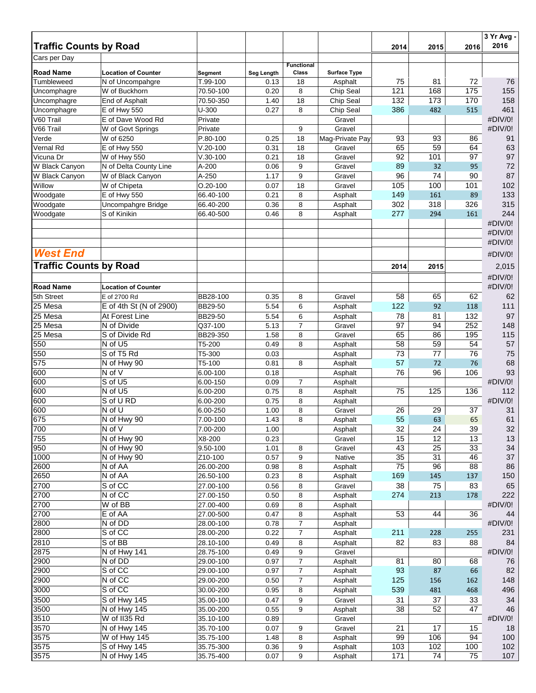| <b>Traffic Counts by Road</b> |                                   |                       |              |                   |                        | 2014            | 2015      | 2016      | 3 Yr Avg -<br>2016 |
|-------------------------------|-----------------------------------|-----------------------|--------------|-------------------|------------------------|-----------------|-----------|-----------|--------------------|
| Cars per Day                  |                                   |                       |              |                   |                        |                 |           |           |                    |
|                               |                                   |                       |              | <b>Functional</b> |                        |                 |           |           |                    |
| <b>Road Name</b>              | <b>Location of Counter</b>        | Segment               | Seg Length   | Class             | <b>Surface Type</b>    |                 |           |           |                    |
| Tumbleweed                    | N of Uncompahgre<br>W of Buckhorn | T.99-100<br>70.50-100 | 0.13<br>0.20 | 18                | Asphalt                | 75<br>121       | 81<br>168 | 72<br>175 | 76<br>155          |
| Uncomphagre<br>Uncomphagre    | End of Asphalt                    | 70.50-350             | 1.40         | 8<br>18           | Chip Seal<br>Chip Seal | 132             | 173       | 170       | 158                |
| Uncomphagre                   | E of Hwy 550                      | $U-300$               | 0.27         | 8                 | Chip Seal              | 386             | 482       | 515       | 461                |
| V60 Trail                     | E of Dave Wood Rd                 | Private               |              |                   | Gravel                 |                 |           |           | #DIV/0!            |
| V66 Trail                     | W of Govt Springs                 | Private               |              | 9                 | Gravel                 |                 |           |           | #DIV/0!            |
| Verde                         | W of 6250                         | P.80-100              | 0.25         | 18                | Mag-Private Pay        | 93              | 93        | 86        | 91                 |
| Vernal Rd                     | E of Hwy 550                      | $V.20 - 100$          | 0.31         | 18                | Gravel                 | 65              | 59        | 64        | 63                 |
| Vicuna Dr                     | W of Hwy 550                      | $V.30-100$            | 0.21         | 18                | Gravel                 | $\overline{92}$ | 101       | 97        | 97                 |
| W Black Canyon                | N of Delta County Line            | A-200                 | 0.06         | 9                 | Gravel                 | 89              | 32        | 95        | 72                 |
| W Black Canyon                | W of Black Canyon                 | A-250                 | 1.17         | 9                 | Gravel                 | 96              | 74        | 90        | 87                 |
| Willow                        | W of Chipeta                      | $O.20 - 100$          | 0.07         | 18                | Gravel                 | 105             | 100       | 101       | 102                |
| Woodgate                      | E of Hwy 550                      | 66.40-100             | 0.21         | 8                 | Asphalt                | 149             | 161       | 89        | 133                |
| Woodgate                      | Uncompahgre Bridge                | 66.40-200             | 0.36         | 8                 | Asphalt                | 302             | 318       | 326       | 315                |
| Woodgate                      | S of Kinikin                      | 66.40-500             | 0.46         | 8                 | Asphalt                | 277             | 294       | 161       | 244                |
|                               |                                   |                       |              |                   |                        |                 |           |           | #DIV/0!            |
|                               |                                   |                       |              |                   |                        |                 |           |           | #DIV/0!            |
|                               |                                   |                       |              |                   |                        |                 |           |           | #DIV/0!            |
| <b>West End</b>               |                                   |                       |              |                   |                        |                 |           |           | #DIV/0!            |
| <b>Traffic Counts by Road</b> |                                   |                       |              |                   |                        |                 |           |           |                    |
|                               |                                   |                       |              |                   |                        | 2014            | 2015      |           | 2,015              |
|                               |                                   |                       |              |                   |                        |                 |           |           | #DIV/0!            |
| <b>Road Name</b>              | <b>Location of Counter</b>        |                       |              |                   |                        |                 |           |           | #DIV/0!            |
| 5th Street                    | E of 2700 Rd                      | BB28-100              | 0.35         | 8                 | Gravel                 | 58              | 65        | 62        | 62                 |
| 25 Mesa                       | E of 4th St (N of 2900)           | BB29-50               | 5.54         | 6                 | Asphalt                | 122             | 92        | 118       | 111                |
| 25 Mesa                       | At Forest Line                    | BB29-50               | 5.54         | 6                 | Asphalt                | 78              | 81        | 132       | 97                 |
| 25 Mesa                       | N of Divide                       | Q37-100               | 5.13         | $\overline{7}$    | Gravel                 | $\overline{97}$ | 94        | 252       | 148                |
| 25 Mesa                       | S of Divide Rd                    | BB29-350              | 1.58         | 8                 | Gravel                 | 65              | 86        | 195       | 115                |
| 550                           | N of U5                           | T5-200                | 0.49         | 8                 | Asphalt                | 58              | 59        | 54        | 57                 |
| 550                           | S of T5 Rd                        | T5-300                | 0.03         |                   | Asphalt                | 73              | 77        | 76        | 75                 |
| 575                           | N of Hwy 90                       | T5-100                | 0.81         | 8                 | Asphalt                | 57              | 72        | 76        | 68                 |
| 600                           | N of V<br>S of U5                 | 6.00-100              | 0.18         |                   | Asphalt                | 76              | 96        | 106       | 93<br>#DIV/0!      |
| 600<br>600                    |                                   | 6.00-150              | 0.09         | $\overline{7}$    | Asphalt                |                 |           |           |                    |
| 600                           | N of U5<br>S of U RD              | 6.00-200<br>6.00-200  | 0.75<br>0.75 | 8<br>8            | Asphalt<br>Asphalt     | 75              | 125       | 136       | 112<br>#DIV/0!     |
| 600                           | N of U                            | 6.00-250              | 1.00         | 8                 | Gravel                 | 26              | 29        | 37        | 31                 |
| 675                           | N of Hwy 90                       | 7.00-100              | 1.43         | 8                 | Asphalt                | 55              | 63        | 65        | 61                 |
| 700                           | N of V                            | 7.00-200              | 1.00         |                   | Asphalt                | 32              | 24        | 39        | 32                 |
| 755                           | N of Hwy 90                       | X8-200                | 0.23         |                   | Gravel                 | 15              | 12        | 13        | 13                 |
| 950                           | N of Hwy 90                       | 9.50-100              | 1.01         | 8                 | Gravel                 | 43              | 25        | 33        | 34                 |
| 1000                          | N of Hwy 90                       | Z10-100               | 0.57         | 9                 | Native                 | 35              | 31        | 46        | 37                 |
| 2600                          | N of AA                           | 26.00-200             | 0.98         | 8                 | Asphalt                | $\overline{75}$ | 96        | 88        | 86                 |
| 2650                          | N of AA                           | 26.50-100             | 0.23         | 8                 | Asphalt                | 169             | 145       | 137       | 150                |
| 2700                          | S of CC                           | 27.00-100             | 0.56         | 8                 | Gravel                 | 38              | 75        | 83        | 65                 |
| 2700                          | N of CC                           | 27.00-150             | 0.50         | 8                 | Asphalt                | 274             | 213       | 178       | 222                |
| 2700                          | W of BB                           | 27.00-400             | 0.69         | 8                 | Asphalt                |                 |           |           | #DIV/0!            |
| 2700                          | E of AA                           | 27.00-500             | 0.47         | 8                 | Asphalt                | 53              | 44        | 36        | 44                 |
| 2800                          | N of DD                           | 28.00-100             | 0.78         | $\overline{7}$    | Asphalt                |                 |           |           | #DIV/0!            |
| 2800                          | S of CC                           | 28.00-200             | 0.22         | $\overline{7}$    | Asphalt                | 211             | 228       | 255       | 231                |
| 2810                          | S of BB                           | 28.10-100             | 0.49         | 8                 | Asphalt                | 82              | 83        | 88        | 84                 |
| 2875                          | N of Hwy 141                      | 28.75-100             | 0.49         | 9                 | Gravel                 |                 |           |           | #DIV/0!            |
| 2900                          | N of DD                           | 29.00-100             | 0.97         | $\overline{7}$    | Asphalt                | 81              | 80        | 68        | 76                 |
| 2900                          | S of CC                           | 29.00-100             | 0.97         | $\overline{7}$    | Asphalt                | 93              | 87        | 66        | 82                 |
| 2900                          | N of CC                           | 29.00-200             | 0.50         | 7                 | Asphalt                | 125             | 156       | 162       | 148                |
| 3000                          | S of CC                           | 30.00-200             | 0.95         | 8                 | Asphalt                | 539             | 481       | 468       | 496                |
| 3500                          | S of Hwy 145                      | 35.00-100             | 0.47         | 9                 | Gravel                 | 31              | 37        | 33        | 34                 |
| 3500                          | N of Hwy 145                      | 35.00-200             | 0.55         | 9                 | Asphalt                | 38              | 52        | 47        | 46                 |
| 3510                          | W of II35 Rd                      | 35.10-100             | 0.89         |                   | Gravel                 |                 |           |           | #DIV/0!            |
| 3570                          | N of Hwy 145                      | 35.70-100             | 0.07         | 9                 | Gravel                 | 21              | 17        | 15        | 18                 |
| 3575                          | W of Hwy 145                      | 35.75-100             | 1.48         | 8                 | Asphalt                | 99              | 106       | 94        | 100                |
| 3575                          | S of Hwy 145                      | 35.75-300             | 0.36         | 9                 | Asphalt                | 103             | 102       | 100       | 102                |
| 3575                          | N of Hwy 145                      | 35.75-400             | 0.07         | 9                 | Asphalt                | 171             | 74        | 75        | 107                |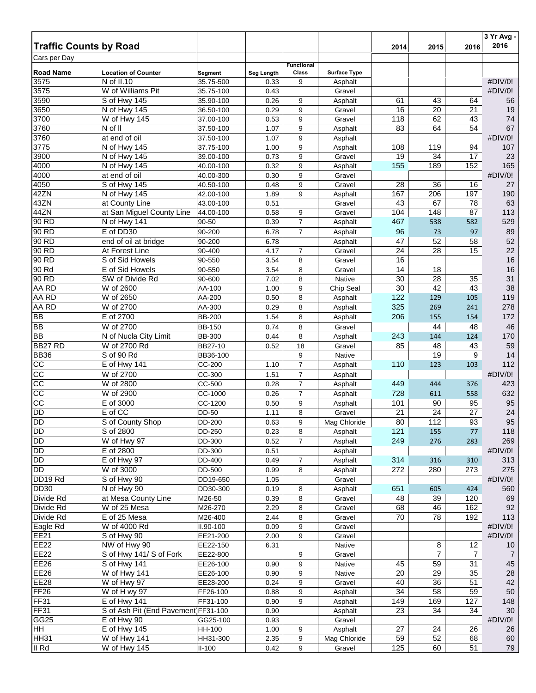| <b>Traffic Counts by Road</b> |                                       |                        |              |                   |                     | 2014            | 2015            | 2016           | 3 Yr Avg -<br>2016 |
|-------------------------------|---------------------------------------|------------------------|--------------|-------------------|---------------------|-----------------|-----------------|----------------|--------------------|
| Cars per Day                  |                                       |                        |              |                   |                     |                 |                 |                |                    |
|                               |                                       |                        |              | <b>Functional</b> |                     |                 |                 |                |                    |
| <b>Road Name</b>              | <b>Location of Counter</b>            | Segment                | Seg Length   | Class             | <b>Surface Type</b> |                 |                 |                |                    |
| 3575<br>3575                  | N of II.10<br>W of Williams Pit       | 35.75-500              | 0.33         | 9                 | Asphalt             |                 |                 |                | #DIV/0!<br>#DIV/0! |
| 3590                          | S of Hwy 145                          | 35.75-100<br>35.90-100 | 0.43<br>0.26 | 9                 | Gravel<br>Asphalt   | 61              | 43              | 64             | 56                 |
| 3650                          | N of Hwy 145                          | 36.50-100              | 0.29         | 9                 | Gravel              | 16              | 20              | 21             | 19                 |
| 3700                          | W of Hwy 145                          | 37.00-100              | 0.53         | 9                 | Gravel              | 118             | 62              | 43             | 74                 |
| 3760                          | N of II                               | 37.50-100              | 1.07         | 9                 | Asphalt             | 83              | 64              | 54             | 67                 |
| 3760                          | at end of oil                         | 37.50-100              | 1.07         | 9                 | Asphalt             |                 |                 |                | #DIV/0!            |
| 3775                          | N of Hwy 145                          | 37.75-100              | 1.00         | 9                 | Asphalt             | 108             | 119             | 94             | 107                |
| 3900                          | N of Hwy 145                          | 39.00-100              | 0.73         | 9                 | Gravel              | 19              | 34              | 17             | 23                 |
| 4000                          | N of Hwy 145                          | 40.00-100              | 0.32         | 9                 | Asphalt             | 155             | 189             | 152            | 165                |
| 4000                          | at end of oil                         | 40.00-300              | 0.30         | 9                 | Gravel              |                 |                 |                | #DIV/0!            |
| 4050                          | S of Hwy 145                          | 40.50-100              | 0.48         | 9                 | Gravel              | 28              | 36              | 16             | 27                 |
| 42ZN                          | N of Hwy $145$                        | 42.00-100              | 1.89         | 9                 | Asphalt             | 167             | 206             | 197            | 190                |
| 43ZN                          | at County Line                        | 43.00-100              | 0.51         |                   | Gravel              | 43              | 67              | 78             | 63                 |
| 44ZN                          | at San Miguel County Line             | 44.00-100              | 0.58         | 9                 | Gravel              | 104             | 148             | 87             | 113                |
| 90 RD                         | N of Hwy 141                          | 90-50                  | 0.39         | $\overline{7}$    | Asphalt             | 467             | 538             | 582            | 529                |
| 90 RD                         | E of DD30                             | 90-200                 | 6.78         | $\overline{7}$    | Asphalt             | 96              | 73              | 97             | 89                 |
| $90$ RD                       | end of oil at bridge                  | 90-200                 | 6.78         |                   | Asphalt             | 47              | 52              | 58             | 52                 |
| 90 RD                         | At Forest Line                        | 90-400                 | 4.17         | $\overline{7}$    | Gravel              | 24              | $\overline{28}$ | 15             | 22                 |
| 90 RD                         | S of Sid Howels                       | 90-550                 | 3.54         | 8                 | Gravel              | 16              |                 |                | 16                 |
| 90 Rd                         | E of Sid Howels                       | 90-550                 | 3.54         | 8                 | Gravel              | 14              | 18              |                | 16                 |
| 90 RD                         | SW of Divide Rd                       | 90-600                 | 7.02         | 8                 | Native              | 30              | 28              | 35             | 31                 |
| AA RD                         | W of 2600                             | AA-100                 | 1.00         | 9                 | Chip Seal           | $\overline{30}$ | 42              | 43             | 38                 |
| AA RD<br>AA RD                | W of 2650                             | AA-200                 | 0.50         | 8                 | Asphalt             | 122<br>325      | 129             | 105            | 119                |
| <b>BB</b>                     | W of 2700                             | AA-300                 | 0.29         | 8                 | Asphalt             |                 | 269             | 241            | 278                |
|                               | E of 2700                             | <b>BB-200</b>          | 1.54         | 8                 | Asphalt             | 206             | 155             | 154            | 172                |
| <b>BB</b><br><b>BB</b>        | W of 2700                             | <b>BB-150</b>          | 0.74<br>0.44 | 8<br>8            | Gravel              | 243             | 44              | 48             | 46<br>170          |
| <b>BB27 RD</b>                | N of Nucla City Limit<br>W of 2700 Rd | <b>BB-300</b>          |              |                   | Asphalt             |                 | 144             | 124            | 59                 |
| <b>BB36</b>                   | S of 90 Rd                            | BB27-10                | 0.52         | 18<br>9           | Gravel<br>Native    | 85              | 48<br>19        | 43<br>9        | 14                 |
| $\overline{cc}$               | E of Hwy 141                          | BB36-100<br>CC-200     | 1.10         | 7                 | Asphalt             | 110             | 123             | 103            | 112                |
| cc                            | W of 2700                             | CC-300                 | 1.51         | $\overline{7}$    | Asphalt             |                 |                 |                | #DIV/0!            |
| cc                            | W of 2800                             | CC-500                 | 0.28         | $\overline{7}$    | Asphalt             | 449             | 444             | 376            | 423                |
| cc                            | W of 2900                             | CC-1000                | 0.26         | $\overline{7}$    | Asphalt             | 728             | 611             | 558            | 632                |
| cc                            | E of 3000                             | CC-1200                | 0.50         | 9                 | Asphalt             | 101             | 90              | 95             | 95                 |
| <b>DD</b>                     | E of CC                               | <b>DD-50</b>           | 1.11         | 8                 | Gravel              | 21              | 24              | 27             | 24                 |
| <b>DD</b>                     | S of County Shop                      | DD-200                 | 0.63         | 9                 | Mag Chloride        | 80              | 112             | 93             | 95                 |
| <b>DD</b>                     | S of 2800                             | DD-250                 | 0.23         | 8                 | Asphalt             | 121             | 155             | 77             | 118                |
| <b>DD</b>                     | W of Hwy 97                           | DD-300                 | 0.52         | $\overline{7}$    | Asphalt             | 249             | 276             | 283            | 269                |
| <b>DD</b>                     | E of 2800                             | DD-300                 | 0.51         |                   | Asphalt             |                 |                 |                | #DIV/0!            |
| <b>DD</b>                     | E of Hwy 97                           | DD-400                 | 0.49         | 7                 | Asphalt             | 314             | 316             | 310            | 313                |
| <b>DD</b>                     | W of 3000                             | DD-500                 | 0.99         | 8                 | Asphalt             | 272             | 280             | 273            | 275                |
| DD19 Rd                       | S of Hwy 90                           | DD19-650               | 1.05         |                   | Gravel              |                 |                 |                | #DIV/0!            |
| <b>DD30</b>                   | N of Hwy 90                           | DD30-300               | 0.19         | 8                 | Asphalt             | 651             | 605             | 424            | 560                |
| Divide Rd                     | at Mesa County Line                   | M26-50                 | 0.39         | 8                 | Gravel              | 48              | 39              | 120            | 69                 |
| Divide Rd                     | W of 25 Mesa                          | M26-270                | 2.29         | 8                 | Gravel              | 68              | 46              | 162            | 92                 |
| Divide Rd                     | E of 25 Mesa                          | M26-400                | 2.44         | 8                 | Gravel              | 70              | 78              | 192            | 113                |
| Eagle Rd                      | W of 4000 Rd                          | II.90-100              | 0.09         | 9                 | Gravel              |                 |                 |                | #DIV/0!            |
| <b>EE21</b>                   | S of Hwy 90                           | EE21-200               | 2.00         | 9                 | Gravel              |                 |                 |                | #DIV/0!            |
| <b>EE22</b>                   | NW of Hwy 90                          | EE22-150               | 6.31         |                   | Native              |                 | 8               | 12             | 10                 |
| <b>EE22</b>                   | S of Hwy 141/ S of Fork               | EE22-800               |              | 9                 | Gravel              |                 | $\overline{7}$  | $\overline{7}$ | 7                  |
| <b>EE26</b>                   | S of Hwy 141                          | EE26-100               | 0.90         | 9                 | Native              | 45              | 59              | 31             | 45                 |
| <b>EE26</b>                   | W of Hwy 141                          | EE26-100               | 0.90         | 9                 | Native              | 20              | 29              | 35             | 28                 |
| <b>EE28</b>                   | W of Hwy 97                           | EE28-200               | 0.24         | 9                 | Gravel              | 40              | 36              | 51             | 42                 |
| <b>FF26</b>                   | W of H wy 97                          | FF26-100               | 0.88         | 9                 | Asphalt             | 34              | 58              | 59             | 50                 |
| <b>FF31</b>                   | E of Hwy 141                          | FF31-100               | 0.90         | 9                 | Asphalt             | 149             | 169             | 127            | 148                |
| <b>FF31</b>                   | S of Ash Pit (End Pavement FF31-100   |                        | 0.90         |                   | Asphalt             | 23              | 34              | 34             | $30\,$             |
| GG <sub>25</sub><br><b>HH</b> | E of Hwy 90<br>E of Hwy 145           | GG25-100<br>HH-100     | 0.93<br>1.00 | 9                 | Gravel<br>Asphalt   | 27              | 24              | 26             | #DIV/0!<br>26      |
| <b>HH31</b>                   | W of Hwy 141                          | HH31-300               | 2.35         | 9                 | Mag Chloride        | 59              | 52              | 68             | 60                 |
| II Rd                         | W of Hwy 145                          | $II-100$               | 0.42         | 9                 | Gravel              | 125             | 60              | 51             | 79                 |
|                               |                                       |                        |              |                   |                     |                 |                 |                |                    |